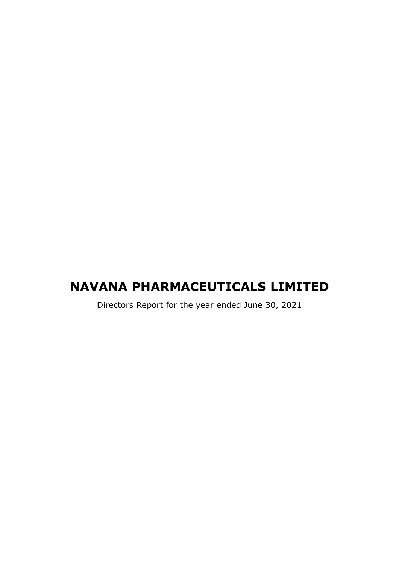# NAVANA PHARMACEUTICALS LIMITED

Directors Report for the year ended June 30, 2021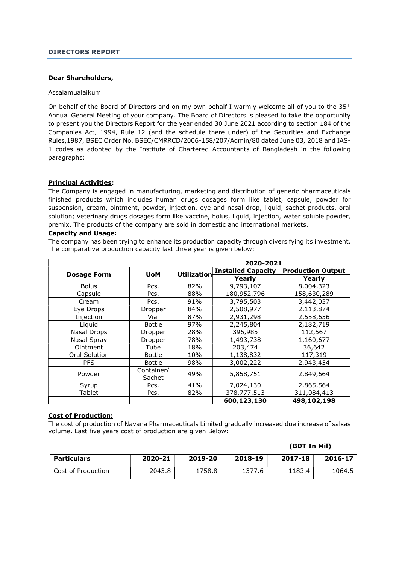### DIRECTORS REPORT

#### Dear Shareholders,

#### Assalamualaikum

On behalf of the Board of Directors and on my own behalf I warmly welcome all of you to the 35<sup>th</sup> Annual General Meeting of your company. The Board of Directors is pleased to take the opportunity to present you the Directors Report for the year ended 30 June 2021 according to section 184 of the Companies Act, 1994, Rule 12 (and the schedule there under) of the Securities and Exchange Rules,1987, BSEC Order No. BSEC/CMRRCD/2006-158/207/Admin/80 dated June 03, 2018 and IAS-1 codes as adopted by the Institute of Chartered Accountants of Bangladesh in the following paragraphs:

#### Principal Activities:

The Company is engaged in manufacturing, marketing and distribution of generic pharmaceuticals finished products which includes human drugs dosages form like tablet, capsule, powder for suspension, cream, ointment, powder, injection, eye and nasal drop, liquid, sachet products, oral solution; veterinary drugs dosages form like vaccine, bolus, liquid, injection, water soluble powder, premix. The products of the company are sold in domestic and international markets.

# Capacity and Usage:

The company has been trying to enhance its production capacity through diversifying its investment. The comparative production capacity last three year is given below:

|                    |                      | 2020-2021   |                           |                          |  |
|--------------------|----------------------|-------------|---------------------------|--------------------------|--|
|                    | <b>UoM</b>           | Utilization | <b>Installed Capacity</b> | <b>Production Output</b> |  |
| <b>Dosage Form</b> |                      |             | Yearly                    | Yearly                   |  |
| <b>Bolus</b>       | Pcs.                 | 82%         | 9,793,107                 | 8,004,323                |  |
| Capsule            | Pcs.                 | 88%         | 180,952,796               | 158,630,289              |  |
| Cream              | Pcs.                 | 91%         | 3,795,503                 | 3,442,037                |  |
| Eye Drops          | Dropper              | 84%         | 2,508,977                 | 2,113,874                |  |
| Injection          | Vial                 | 87%         | 2,931,298                 | 2,558,656                |  |
| Liquid             | <b>Bottle</b>        | 97%         | 2,245,804                 | 2,182,719                |  |
| Nasal Drops        | Dropper              | 28%         | 396,985                   | 112,567                  |  |
| Nasal Spray        | Dropper              | 78%         | 1,493,738                 | 1,160,677                |  |
| Ointment           | Tube                 | 18%         | 203,474                   | 36,642                   |  |
| Oral Solution      | <b>Bottle</b>        | 10%         | 1,138,832                 | 117,319                  |  |
| <b>PFS</b>         | <b>Bottle</b>        | 98%         | 3,002,222                 | 2,943,454                |  |
| Powder             | Container/<br>Sachet | 49%         | 5,858,751                 | 2,849,664                |  |
| Syrup              | Pcs.                 | 41%         | 7,024,130                 | 2,865,564                |  |
| Tablet             | Pcs.                 | 82%         | 378,777,513               | 311,084,413              |  |
|                    |                      |             | 600,123,130               | 498,102,198              |  |

# Cost of Production:

The cost of production of Navana Pharmaceuticals Limited gradually increased due increase of salsas volume. Last five years cost of production are given Below:

| Particulars        | 2020-21 | 2019-20 | 2018-19 | 2017-18 | 2016-17 |
|--------------------|---------|---------|---------|---------|---------|
| Cost of Production | 2043.8  | 1758.8  | 1377.6  | 1183.4  | 1064.5  |

(BDT In Mil)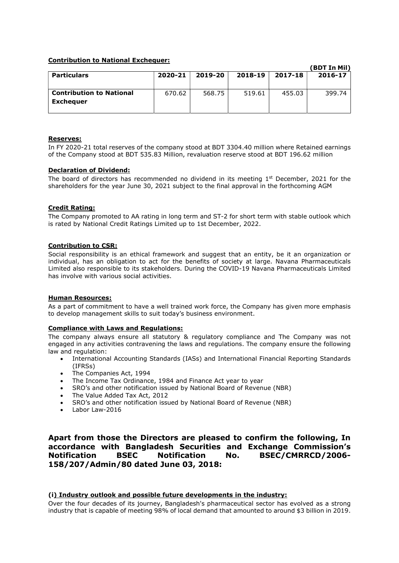## Contribution to National Exchequer:

|                                 |         |         |         |         | (BDT In Mil) |
|---------------------------------|---------|---------|---------|---------|--------------|
| <b>Particulars</b>              | 2020-21 | 2019-20 | 2018-19 | 2017-18 | 2016-17      |
|                                 |         |         |         |         |              |
|                                 |         |         |         |         |              |
| <b>Contribution to National</b> | 670.62  | 568.75  | 519.61  | 455.03  | 399.74       |
| <b>Exchequer</b>                |         |         |         |         |              |
|                                 |         |         |         |         |              |
|                                 |         |         |         |         |              |

### Reserves:

In FY 2020-21 total reserves of the company stood at BDT 3304.40 million where Retained earnings of the Company stood at BDT 535.83 Million, revaluation reserve stood at BDT 196.62 million

## Declaration of Dividend:

The board of directors has recommended no dividend in its meeting  $1<sup>st</sup>$  December, 2021 for the shareholders for the year June 30, 2021 subject to the final approval in the forthcoming AGM

### Credit Rating:

The Company promoted to AA rating in long term and ST-2 for short term with stable outlook which is rated by National Credit Ratings Limited up to 1st December, 2022.

### Contribution to CSR:

Social responsibility is an ethical framework and suggest that an entity, be it an organization or individual, has an obligation to act for the benefits of society at large. Navana Pharmaceuticals Limited also responsible to its stakeholders. During the COVID-19 Navana Pharmaceuticals Limited has involve with various social activities.

#### Human Resources:

As a part of commitment to have a well trained work force, the Company has given more emphasis to develop management skills to suit today's business environment.

## Compliance with Laws and Regulations:

The company always ensure all statutory & regulatory compliance and The Company was not engaged in any activities contravening the laws and regulations. The company ensure the following law and regulation:

- International Accounting Standards (IASs) and International Financial Reporting Standards (IFRSs)
- The Companies Act, 1994
- The Income Tax Ordinance, 1984 and Finance Act year to year
- SRO's and other notification issued by National Board of Revenue (NBR)
- The Value Added Tax Act, 2012
- SRO's and other notification issued by National Board of Revenue (NBR)
- Labor Law-2016

Apart from those the Directors are pleased to confirm the following, In accordance with Bangladesh Securities and Exchange Commission's Notification BSEC Notification No. BSEC/CMRRCD/2006- 158/207/Admin/80 dated June 03, 2018:

#### (i) Industry outlook and possible future developments in the industry:

Over the four decades of its journey, Bangladesh's pharmaceutical sector has evolved as a strong industry that is capable of meeting 98% of local demand that amounted to around \$3 billion in 2019.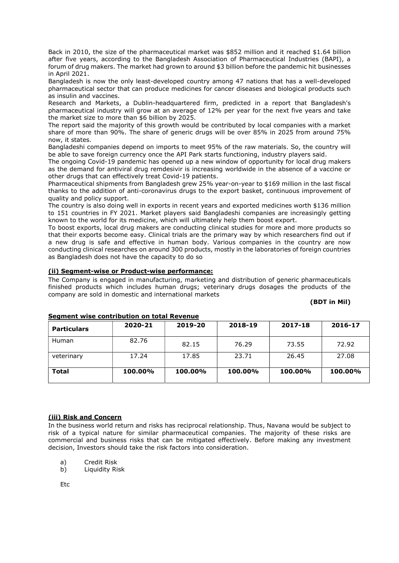Back in 2010, the size of the pharmaceutical market was \$852 million and it reached \$1.64 billion after five years, according to the Bangladesh Association of Pharmaceutical Industries (BAPI), a forum of drug makers. The market had grown to around \$3 billion before the pandemic hit businesses in April 2021.

Bangladesh is now the only least-developed country among 47 nations that has a well-developed pharmaceutical sector that can produce medicines for cancer diseases and biological products such as insulin and vaccines.

Research and Markets, a Dublin-headquartered firm, predicted in a report that Bangladesh's pharmaceutical industry will grow at an average of 12% per year for the next five years and take the market size to more than \$6 billion by 2025.

The report said the majority of this growth would be contributed by local companies with a market share of more than 90%. The share of generic drugs will be over 85% in 2025 from around 75% now, it states.

Bangladeshi companies depend on imports to meet 95% of the raw materials. So, the country will be able to save foreign currency once the API Park starts functioning, industry players said.

The ongoing Covid-19 pandemic has opened up a new window of opportunity for local drug makers as the demand for antiviral drug remdesivir is increasing worldwide in the absence of a vaccine or other drugs that can effectively treat Covid-19 patients.

Pharmaceutical shipments from Bangladesh grew 25% year-on-year to \$169 million in the last fiscal thanks to the addition of anti-coronavirus drugs to the export basket, continuous improvement of quality and policy support.

The country is also doing well in exports in recent years and exported medicines worth \$136 million to 151 countries in FY 2021. Market players said Bangladeshi companies are increasingly getting known to the world for its medicine, which will ultimately help them boost export.

To boost exports, local drug makers are conducting clinical studies for more and more products so that their exports become easy. Clinical trials are the primary way by which researchers find out if a new drug is safe and effective in human body. Various companies in the country are now conducting clinical researches on around 300 products, mostly in the laboratories of foreign countries as Bangladesh does not have the capacity to do so

# (ii) Segment-wise or Product-wise performance:

The Company is engaged in manufacturing, marketing and distribution of generic pharmaceuticals finished products which includes human drugs; veterinary drugs dosages the products of the company are sold in domestic and international markets

#### (BDT in Mil)

| <b>Particulars</b> | 2020-21 | 2019-20 | 2018-19 | 2017-18 | 2016-17 |
|--------------------|---------|---------|---------|---------|---------|
| Human              | 82.76   | 82.15   | 76.29   | 73.55   | 72.92   |
| veterinary         | 17.24   | 17.85   | 23.71   | 26.45   | 27.08   |
| <b>Total</b>       | 100.00% | 100.00% | 100.00% | 100.00% | 100.00% |

### Segment wise contribution on total Revenue

### (iii) Risk and Concern

In the business world return and risks has reciprocal relationship. Thus, Navana would be subject to risk of a typical nature for similar pharmaceutical companies. The majority of these risks are commercial and business risks that can be mitigated effectively. Before making any investment decision, Investors should take the risk factors into consideration.

- a) Credit Risk
- b) Liquidity Risk

Etc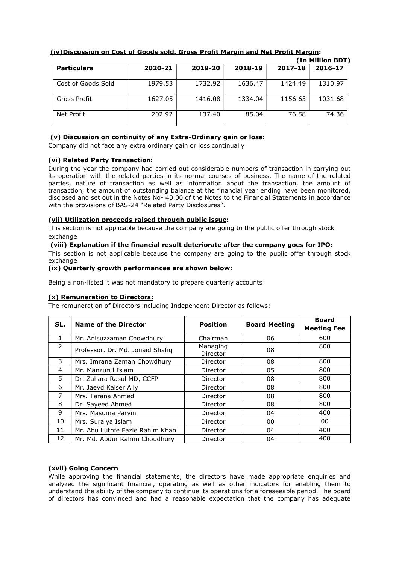|                    |         |         |         |         | (In Million BDT) |
|--------------------|---------|---------|---------|---------|------------------|
| <b>Particulars</b> | 2020-21 | 2019-20 | 2018-19 | 2017-18 | 2016-17          |
| Cost of Goods Sold | 1979.53 | 1732.92 | 1636.47 | 1424.49 | 1310.97          |
| Gross Profit       | 1627.05 | 1416.08 | 1334.04 | 1156.63 | 1031.68          |
| Net Profit         | 202.92  | 137.40  | 85.04   | 76.58   | 74.36            |

# (iv)Discussion on Cost of Goods sold, Gross Profit Margin and Net Profit Margin:

# (v) Discussion on continuity of any Extra-Ordinary gain or loss:

Company did not face any extra ordinary gain or loss continually

## (vi) Related Party Transaction:

During the year the company had carried out considerable numbers of transaction in carrying out its operation with the related parties in its normal courses of business. The name of the related parties, nature of transaction as well as information about the transaction, the amount of transaction, the amount of outstanding balance at the financial year ending have been monitored, disclosed and set out in the Notes No- 40.00 of the Notes to the Financial Statements in accordance with the provisions of BAS-24 "Related Party Disclosures".

## (vii) Utilization proceeds raised through public issue:

This section is not applicable because the company are going to the public offer through stock exchange

### (viii) Explanation if the financial result deteriorate after the company goes for IPO:

This section is not applicable because the company are going to the public offer through stock exchange

### (ix) Quarterly growth performances are shown below:

Being a non-listed it was not mandatory to prepare quarterly accounts

## (x) Remuneration to Directors:

The remuneration of Directors including Independent Director as follows:

| SL. | Name of the Director             | <b>Position</b>      | <b>Board Meeting</b> | <b>Board</b><br><b>Meeting Fee</b> |
|-----|----------------------------------|----------------------|----------------------|------------------------------------|
| 1   | Mr. Anisuzzaman Chowdhury        | Chairman             | 06                   | 600                                |
| 2   | Professor. Dr. Md. Jonaid Shafiq | Managing<br>Director | 08                   | 800                                |
| 3   | Mrs. Imrana Zaman Chowdhury      | Director             | 08                   | 800                                |
| 4   | Mr. Manzurul Islam               | Director             | 05                   | 800                                |
| 5.  | Dr. Zahara Rasul MD, CCFP        | Director             | 08                   | 800                                |
| 6   | Mr. Jaevd Kaiser Ally            | Director             | 08                   | 800                                |
| 7   | Mrs. Tarana Ahmed                | Director             | 08                   | 800                                |
| 8   | Dr. Sayeed Ahmed                 | Director             | 08                   | 800                                |
| 9   | Mrs. Masuma Parvin               | Director             | 04                   | 400                                |
| 10  | Mrs. Suraiya Islam               | Director             | 00                   | 00                                 |
| 11  | Mr. Abu Luthfe Fazle Rahim Khan  | Director             | 04                   | 400                                |
| 12  | Mr. Md. Abdur Rahim Choudhury    | Director             | 04                   | 400                                |

# (xvii) Going Concern

While approving the financial statements, the directors have made appropriate enquiries and analyzed the significant financial, operating as well as other indicators for enabling them to understand the ability of the company to continue its operations for a foreseeable period. The board of directors has convinced and had a reasonable expectation that the company has adequate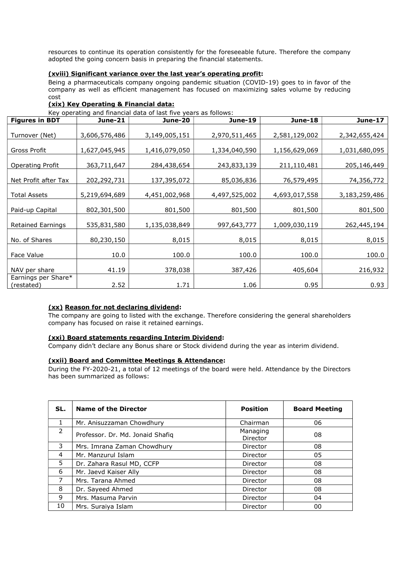resources to continue its operation consistently for the foreseeable future. Therefore the company adopted the going concern basis in preparing the financial statements.

## (xviii) Significant variance over the last year's operating profit:

Being a pharmaceuticals company ongoing pandemic situation (COVID-19) goes to in favor of the company as well as efficient management has focused on maximizing sales volume by reducing cost

# (xix) Key Operating & Financial data:

Key operating and financial data of last five years as follows:

| <b>Figures in BDT</b>             | <b>June-21</b> | Rey operating and miancial data or last live years as follows.<br>June-20 | June-19       | <b>June-18</b> | <b>June-17</b> |
|-----------------------------------|----------------|---------------------------------------------------------------------------|---------------|----------------|----------------|
| Turnover (Net)                    | 3,606,576,486  | 3,149,005,151                                                             | 2,970,511,465 | 2,581,129,002  | 2,342,655,424  |
| Gross Profit                      | 1,627,045,945  | 1,416,079,050                                                             | 1,334,040,590 | 1,156,629,069  | 1,031,680,095  |
| <b>Operating Profit</b>           | 363,711,647    | 284,438,654                                                               | 243,833,139   | 211,110,481    | 205,146,449    |
| Net Profit after Tax              | 202,292,731    | 137,395,072                                                               | 85,036,836    | 76,579,495     | 74,356,772     |
| <b>Total Assets</b>               | 5,219,694,689  | 4,451,002,968                                                             | 4,497,525,002 | 4,693,017,558  | 3,183,259,486  |
| Paid-up Capital                   | 802,301,500    | 801,500                                                                   | 801,500       | 801,500        | 801,500        |
| <b>Retained Earnings</b>          | 535,831,580    | 1,135,038,849                                                             | 997,643,777   | 1,009,030,119  | 262,445,194    |
| No. of Shares                     | 80,230,150     | 8,015                                                                     | 8,015         | 8,015          | 8,015          |
| Face Value                        | 10.0           | 100.0                                                                     | 100.0         | 100.0          | 100.0          |
| NAV per share                     | 41.19          | 378,038                                                                   | 387,426       | 405,604        | 216,932        |
| Earnings per Share*<br>(restated) | 2.52           | 1.71                                                                      | 1.06          | 0.95           | 0.93           |

### (xx) Reason for not declaring dividend:

The company are going to listed with the exchange. Therefore considering the general shareholders company has focused on raise it retained earnings.

### (xxi) Board statements regarding Interim Dividend:

Company didn't declare any Bonus share or Stock dividend during the year as interim dividend.

### (xxii) Board and Committee Meetings & Attendance:

During the FY-2020-21, a total of 12 meetings of the board were held. Attendance by the Directors has been summarized as follows:

| SL. | <b>Name of the Director</b>      | <b>Position</b>      | <b>Board Meeting</b> |
|-----|----------------------------------|----------------------|----------------------|
|     | Mr. Anisuzzaman Chowdhury        | Chairman             | 06                   |
| 2   | Professor. Dr. Md. Jonaid Shafig | Managing<br>Director | 08                   |
| 3   | Mrs. Imrana Zaman Chowdhury      | Director             | 08                   |
| 4   | Mr. Manzurul Islam               | Director             | 05                   |
| 5   | Dr. Zahara Rasul MD, CCFP        | Director             | 08                   |
| 6   | Mr. Jaevd Kaiser Ally            | Director             | 08                   |
| 7   | Mrs. Tarana Ahmed                | Director             | 08                   |
| 8   | Dr. Sayeed Ahmed                 | Director             | 08                   |
| 9   | Mrs. Masuma Parvin               | Director             | 04                   |
| 10  | Mrs. Suraiya Islam               | Director             | 00                   |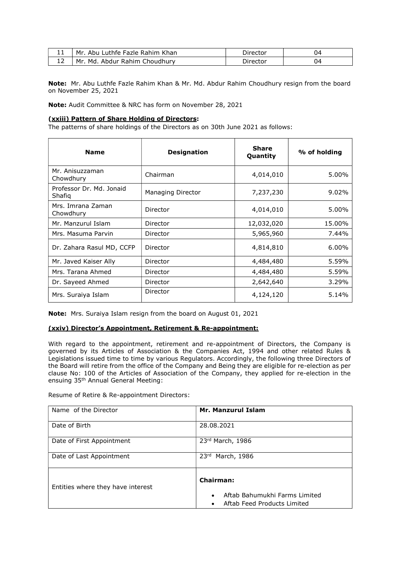| . . | Mr. Abu Luthfe Fazle Rahim Khan | Director | 04 |
|-----|---------------------------------|----------|----|
| ∸   | Mr. Md. Abdur Rahim Choudhury   | Director | 04 |

Note: Mr. Abu Luthfe Fazle Rahim Khan & Mr. Md. Abdur Rahim Choudhury resign from the board on November 25, 2021

Note: Audit Committee & NRC has form on November 28, 2021

#### (xxiii) Pattern of Share Holding of Directors:

The patterns of share holdings of the Directors as on 30th June 2021 as follows:

| <b>Name</b>                        | <b>Designation</b>       | <b>Share</b><br>Quantity | % of holding |
|------------------------------------|--------------------------|--------------------------|--------------|
| Mr. Anisuzzaman<br>Chowdhury       | Chairman                 | 4,014,010                | 5.00%        |
| Professor Dr. Md. Jonaid<br>Shafig | <b>Managing Director</b> | 7,237,230                | 9.02%        |
| Mrs. Imrana Zaman<br>Chowdhury     | Director                 | 4,014,010                | 5.00%        |
| Mr. Manzurul Islam                 | Director                 | 12,032,020               | 15.00%       |
| Mrs. Masuma Parvin                 | Director                 | 5,965,960                | 7.44%        |
| Dr. Zahara Rasul MD, CCFP          | Director                 | 4,814,810                | $6.00\%$     |
| Mr. Javed Kaiser Ally              | Director                 | 4,484,480                | 5.59%        |
| Mrs. Tarana Ahmed                  | Director                 | 4,484,480                | 5.59%        |
| Dr. Sayeed Ahmed                   | Director                 | 2,642,640                | 3.29%        |
| Mrs. Suraiya Islam                 | Director                 | 4,124,120                | 5.14%        |

Note: Mrs. Suraiya Islam resign from the board on August 01, 2021

### (xxiv) Director's Appointment, Retirement & Re-appointment:

With regard to the appointment, retirement and re-appointment of Directors, the Company is governed by its Articles of Association & the Companies Act, 1994 and other related Rules & Legislations issued time to time by various Regulators. Accordingly, the following three Directors of the Board will retire from the office of the Company and Being they are eligible for re-election as per clause No: 100 of the Articles of Association of the Company, they applied for re-election in the ensuing 35th Annual General Meeting:

Resume of Retire & Re-appointment Directors:

| Name of the Director              | <b>Mr. Manzurul Islam</b>                                                                           |  |
|-----------------------------------|-----------------------------------------------------------------------------------------------------|--|
| Date of Birth                     | 28.08.2021                                                                                          |  |
| Date of First Appointment         | 23rd March, 1986                                                                                    |  |
| Date of Last Appointment          | 23 <sup>rd</sup><br>March, 1986                                                                     |  |
| Entities where they have interest | Chairman:<br>Aftab Bahumukhi Farms Limited<br>$\bullet$<br>Aftab Feed Products Limited<br>$\bullet$ |  |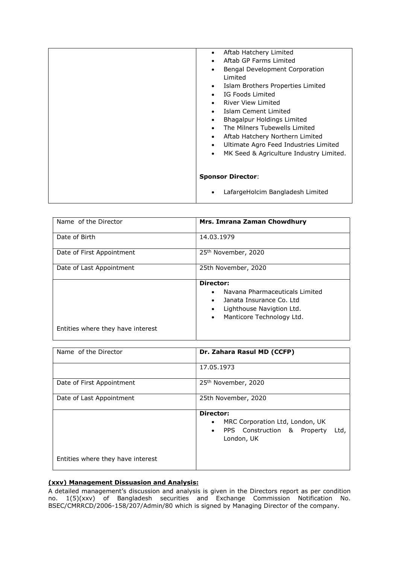| Aftab Hatchery Limited<br>$\bullet$<br>Aftab GP Farms Limited<br>$\bullet$<br>Bengal Development Corporation<br>$\bullet$<br><b>Limited</b><br>Islam Brothers Properties Limited<br>$\bullet$<br>IG Foods Limited<br>$\bullet$<br>River View Limited<br>$\bullet$<br>Islam Cement Limited<br>$\bullet$<br>Bhagalpur Holdings Limited<br>$\bullet$<br>The Milners Tubewells Limited<br>$\bullet$<br>Aftab Hatchery Northern Limited<br>$\bullet$<br>Ultimate Agro Feed Industries Limited<br>$\bullet$<br>MK Seed & Agriculture Industry Limited.<br>$\bullet$ |
|---------------------------------------------------------------------------------------------------------------------------------------------------------------------------------------------------------------------------------------------------------------------------------------------------------------------------------------------------------------------------------------------------------------------------------------------------------------------------------------------------------------------------------------------------------------|
| <b>Sponsor Director:</b><br>LafargeHolcim Bangladesh Limited<br>$\bullet$                                                                                                                                                                                                                                                                                                                                                                                                                                                                                     |

| Name of the Director              | Mrs. Imrana Zaman Chowdhury                                                                                                                                                           |  |  |
|-----------------------------------|---------------------------------------------------------------------------------------------------------------------------------------------------------------------------------------|--|--|
| Date of Birth                     | 14.03.1979                                                                                                                                                                            |  |  |
| Date of First Appointment         | 25 <sup>th</sup> November, 2020                                                                                                                                                       |  |  |
| Date of Last Appointment          | 25th November, 2020                                                                                                                                                                   |  |  |
|                                   | Director:<br>Navana Pharmaceuticals Limited<br>$\bullet$<br>Janata Insurance Co. Ltd<br>$\bullet$<br>Lighthouse Navigtion Ltd.<br>$\bullet$<br>Manticore Technology Ltd.<br>$\bullet$ |  |  |
| Entities where they have interest |                                                                                                                                                                                       |  |  |

| Name of the Director              | Dr. Zahara Rasul MD (CCFP)                                                                                          |
|-----------------------------------|---------------------------------------------------------------------------------------------------------------------|
|                                   | 17.05.1973                                                                                                          |
| Date of First Appointment         | 25 <sup>th</sup> November, 2020                                                                                     |
| Date of Last Appointment          | 25th November, 2020                                                                                                 |
|                                   | Director:<br>MRC Corporation Ltd, London, UK<br>٠<br>PPS Construction & Property<br>Ltd,<br>$\bullet$<br>London, UK |
| Entities where they have interest |                                                                                                                     |

# (xxv) Management Dissuasion and Analysis:

A detailed management's discussion and analysis is given in the Directors report as per condition no. 1(5)(xxv) of Bangladesh securities and Exchange Commission Notification No. BSEC/CMRRCD/2006-158/207/Admin/80 which is signed by Managing Director of the company.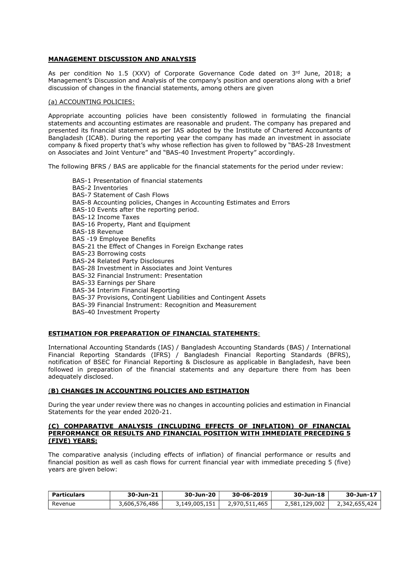## MANAGEMENT DISCUSSION AND ANALYSIS

As per condition No 1.5 (XXV) of Corporate Governance Code dated on 3rd June, 2018; a Management's Discussion and Analysis of the company's position and operations along with a brief discussion of changes in the financial statements, among others are given

#### (a) ACCOUNTING POLICIES:

Appropriate accounting policies have been consistently followed in formulating the financial statements and accounting estimates are reasonable and prudent. The company has prepared and presented its financial statement as per IAS adopted by the Institute of Chartered Accountants of Bangladesh (ICAB). During the reporting year the company has made an investment in associate company & fixed property that's why whose reflection has given to followed by "BAS-28 Investment on Associates and Joint Venture" and "BAS-40 Investment Property" accordingly.

The following BFRS / BAS are applicable for the financial statements for the period under review:

BAS-1 Presentation of financial statements BAS-2 Inventories BAS-7 Statement of Cash Flows BAS-8 Accounting policies, Changes in Accounting Estimates and Errors BAS-10 Events after the reporting period. BAS-12 Income Taxes BAS-16 Property, Plant and Equipment BAS-18 Revenue BAS -19 Employee Benefits BAS-21 the Effect of Changes in Foreign Exchange rates BAS-23 Borrowing costs BAS-24 Related Party Disclosures BAS-28 Investment in Associates and Joint Ventures BAS-32 Financial Instrument: Presentation BAS-33 Earnings per Share BAS-34 Interim Financial Reporting BAS-37 Provisions, Contingent Liabilities and Contingent Assets BAS-39 Financial Instrument: Recognition and Measurement BAS-40 Investment Property

### ESTIMATION FOR PREPARATION OF FINANCIAL STATEMENTS:

International Accounting Standards (IAS) / Bangladesh Accounting Standards (BAS) / International Financial Reporting Standards (IFRS) / Bangladesh Financial Reporting Standards (BFRS), notification of BSEC for Financial Reporting & Disclosure as applicable in Bangladesh, have been followed in preparation of the financial statements and any departure there from has been adequately disclosed.

### (B) CHANGES IN ACCOUNTING POLICIES AND ESTIMATION

During the year under review there was no changes in accounting policies and estimation in Financial Statements for the year ended 2020-21.

#### (C) COMPARATIVE ANALYSIS (INCLUDING EFFECTS OF INFLATION) OF FINANCIAL PERFORMANCE OR RESULTS AND FINANCIAL POSITION WITH IMMEDIATE PRECEDING 5 (FIVE) YEARS:

The comparative analysis (including effects of inflation) of financial performance or results and financial position as well as cash flows for current financial year with immediate preceding 5 (five) years are given below:

| <b>Particulars</b> | 30-Jun-21     | 30-Jun-20     | 30-06-2019    | 30-Jun-18     | 30-Jun-17     |
|--------------------|---------------|---------------|---------------|---------------|---------------|
| Revenue            | 3,606,576,486 | 3,149,005,151 | 2.970.511.465 | 2,581,129,002 | 2,342,655,424 |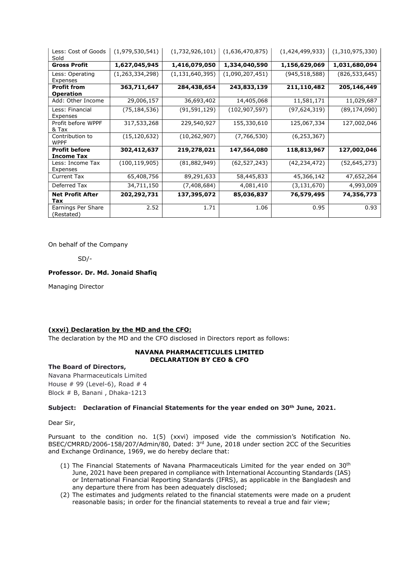| Less: Cost of Goods<br>Sold               | (1,979,530,541)    | (1,732,926,101)    | (1,636,470,875) | (1,424,499,933) | (1,310,975,330) |
|-------------------------------------------|--------------------|--------------------|-----------------|-----------------|-----------------|
| <b>Gross Profit</b>                       | 1,627,045,945      | 1,416,079,050      | 1,334,040,590   | 1,156,629,069   | 1,031,680,094   |
| Less: Operating<br>Expenses               | (1, 263, 334, 298) | (1, 131, 640, 395) | (1,090,207,451) | (945,518,588)   | (826, 533, 645) |
| <b>Profit from</b>                        | 363,711,647        | 284,438,654        | 243,833,139     | 211,110,482     | 205,146,449     |
| <b>Operation</b>                          |                    |                    |                 |                 |                 |
| Add: Other Income                         | 29,006,157         | 36,693,402         | 14,405,068      | 11,581,171      | 11,029,687      |
| Less: Financial<br>Expenses               | (75, 184, 536)     | (91, 591, 129)     | (102, 907, 597) | (97,624,319)    | (89, 174, 090)  |
| Profit before WPPF<br>& Tax               | 317,533,268        | 229,540,927        | 155,330,610     | 125,067,334     | 127,002,046     |
| Contribution to<br><b>WPPF</b>            | (15,120,632)       | (10, 262, 907)     | (7,766,530)     | (6, 253, 367)   |                 |
| <b>Profit before</b><br><b>Income Tax</b> | 302,412,637        | 219,278,021        | 147,564,080     | 118,813,967     | 127,002,046     |
| Less: Income Tax<br>Expenses              | (100, 119, 905)    | (81, 882, 949)     | (62,527,243)    | (42, 234, 472)  | (52,645,273)    |
| Current Tax                               | 65,408,756         | 89,291,633         | 58,445,833      | 45,366,142      | 47,652,264      |
| Deferred Tax                              | 34,711,150         | (7,408,684)        | 4,081,410       | (3, 131, 670)   | 4,993,009       |
| <b>Net Profit After</b><br>Tax            | 202,292,731        | 137,395,072        | 85,036,837      | 76,579,495      | 74,356,773      |
| Earnings Per Share<br>(Restated)          | 2.52               | 1.71               | 1.06            | 0.95            | 0.93            |

On behalf of the Company

SD/-

## Professor. Dr. Md. Jonaid Shafiq

Managing Director

# (xxvi) Declaration by the MD and the CFO:

The declaration by the MD and the CFO disclosed in Directors report as follows:

#### NAVANA PHARMACETICULES LIMITED DECLARATION BY CEO & CFO

#### The Board of Directors,

Navana Pharmaceuticals Limited House  $# 99$  (Level-6), Road  $# 4$ Block # B, Banani , Dhaka-1213

### Subject: Declaration of Financial Statements for the year ended on 30<sup>th</sup> June, 2021.

Dear Sir,

Pursuant to the condition no. 1(5) (xxvi) imposed vide the commission's Notification No. BSEC/CMRRD/2006-158/207/Admin/80, Dated: 3rd June, 2018 under section 2CC of the Securities and Exchange Ordinance, 1969, we do hereby declare that:

- (1) The Financial Statements of Navana Pharmaceuticals Limited for the year ended on 30th June, 2021 have been prepared in compliance with International Accounting Standards (IAS) or International Financial Reporting Standards (IFRS), as applicable in the Bangladesh and any departure there from has been adequately disclosed;
- (2) The estimates and judgments related to the financial statements were made on a prudent reasonable basis; in order for the financial statements to reveal a true and fair view;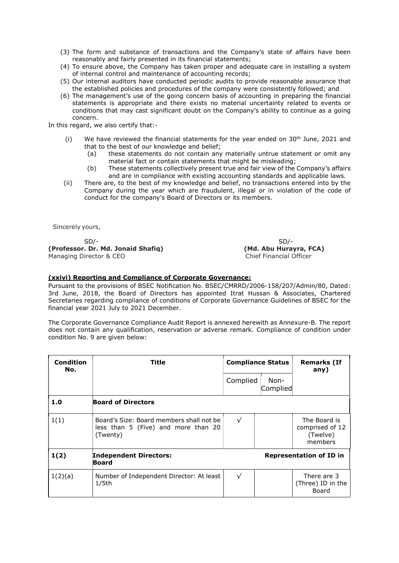- (3) The form and substance of transactions and the Company's state of affairs have been reasonably and fairly presented in its financial statements;
- (4) To ensure above, the Company has taken proper and adequate care in installing a system of internal control and maintenance of accounting records;
- (5) Our internal auditors have conducted periodic audits to provide reasonable assurance that the established policies and procedures of the company were consistently followed; and
- (6) The management's use of the going concern basis of accounting in preparing the financial statements is appropriate and there exists no material uncertainty related to events or conditions that may cast significant doubt on the Company's ability to continue as a going concern.

In this regard, we also certify that:-

- (i) We have reviewed the financial statements for the year ended on  $30<sup>th</sup>$  June, 2021 and that to the best of our knowledge and belief;
	- (a) these statements do not contain any materially untrue statement or omit any material fact or contain statements that might be misleading;
	- (b) These statements collectively present true and fair view of the Company's affairs and are in compliance with existing accounting standards and applicable laws.
- (ii) There are, to the best of my knowledge and belief, no transactions entered into by the Company during the year which are fraudulent, illegal or in violation of the code of conduct for the company's Board of Directors or its members.

Sincerely yours,

 SD/- SD/- (Professor. Dr. Md. Jonaid Shafiq) (Md. Abu Hurayra, FCA) Managing Director & CEO Chief Financial Officer

### (xxivi) Reporting and Compliance of Corporate Governance:

Pursuant to the provisions of BSEC Notification No. BSEC/CMRRD/2006-158/207/Admin/80, Dated: 3rd June, 2018, the Board of Directors has appointed Itrat Hussan & Associates, Chartered Secretaries regarding compliance of conditions of Corporate Governance Guidelines of BSEC for the financial year 2021 July to 2021 December.

The Corporate Governance Compliance Audit Report is annexed herewith as Annexure-B. The report does not contain any qualification, reservation or adverse remark. Compliance of condition under condition No. 9 are given below:

| Condition<br>No. | Title                                                                                       | <b>Compliance Status</b> |                  | <b>Remarks (If</b><br>any)                             |
|------------------|---------------------------------------------------------------------------------------------|--------------------------|------------------|--------------------------------------------------------|
|                  |                                                                                             | Complied                 | Non-<br>Complied |                                                        |
| 1.0              | <b>Board of Directors</b>                                                                   |                          |                  |                                                        |
| 1(1)             | Board's Size: Board members shall not be<br>less than 5 (Five) and more than 20<br>(Twenty) | $\sqrt{}$                |                  | The Board is<br>comprised of 12<br>(Twelve)<br>members |
| 1(2)             | <b>Independent Directors:</b><br>Board                                                      |                          |                  | <b>Representation of ID in</b>                         |
| 1(2)(a)          | Number of Independent Director: At least<br>1/5 <sub>th</sub>                               | $\sqrt{ }$               |                  | There are 3<br>(Three) ID in the<br>Board              |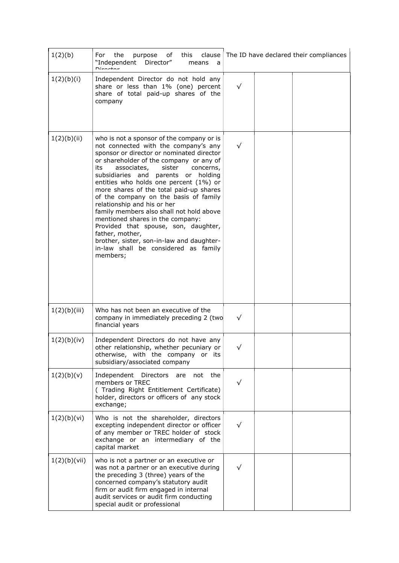| 1(2)(b)      | For the<br>this<br>clause<br>purpose<br>of<br>"Independent Director"<br>means<br>a<br>Disaatas                                                                                                                                                                                                                                                                                                                                                                                                                                                                                                                                                                         |            | The ID have declared their compliances |
|--------------|------------------------------------------------------------------------------------------------------------------------------------------------------------------------------------------------------------------------------------------------------------------------------------------------------------------------------------------------------------------------------------------------------------------------------------------------------------------------------------------------------------------------------------------------------------------------------------------------------------------------------------------------------------------------|------------|----------------------------------------|
| 1(2)(b)(i)   | Independent Director do not hold any<br>share or less than 1% (one) percent<br>share of total paid-up shares of the<br>company                                                                                                                                                                                                                                                                                                                                                                                                                                                                                                                                         | $\sqrt{}$  |                                        |
| 1(2)(b)(ii)  | who is not a sponsor of the company or is<br>not connected with the company's any<br>sponsor or director or nominated director<br>or shareholder of the company or any of<br>its<br>associates,<br>sister<br>concerns,<br>subsidiaries and parents or holding<br>entities who holds one percent (1%) or<br>more shares of the total paid-up shares<br>of the company on the basis of family<br>relationship and his or her<br>family members also shall not hold above<br>mentioned shares in the company:<br>Provided that spouse, son, daughter,<br>father, mother,<br>brother, sister, son-in-law and daughter-<br>in-law shall be considered as family<br>members; | $\sqrt{}$  |                                        |
| 1(2)(b)(iii) | Who has not been an executive of the<br>company in immediately preceding 2 (two<br>financial years                                                                                                                                                                                                                                                                                                                                                                                                                                                                                                                                                                     | $\sqrt{}$  |                                        |
| 1(2)(b)(iv)  | Independent Directors do not have any<br>other relationship, whether pecuniary or $\vert$<br>otherwise, with the company or its<br>subsidiary/associated company                                                                                                                                                                                                                                                                                                                                                                                                                                                                                                       | $\sqrt{ }$ |                                        |
| 1(2)(b)(v)   | Independent Directors<br>not the<br>are<br>members or TREC<br>(Trading Right Entitlement Certificate)<br>holder, directors or officers of any stock<br>exchange;                                                                                                                                                                                                                                                                                                                                                                                                                                                                                                       | $\sqrt{}$  |                                        |
| 1(2)(b)(vi)  | Who is not the shareholder, directors<br>excepting independent director or officer<br>of any member or TREC holder of stock<br>exchange or an intermediary of the<br>capital market                                                                                                                                                                                                                                                                                                                                                                                                                                                                                    | √          |                                        |
| 1(2)(b)(vii) | who is not a partner or an executive or<br>was not a partner or an executive during<br>the preceding 3 (three) years of the<br>concerned company's statutory audit<br>firm or audit firm engaged in internal<br>audit services or audit firm conducting<br>special audit or professional                                                                                                                                                                                                                                                                                                                                                                               | √          |                                        |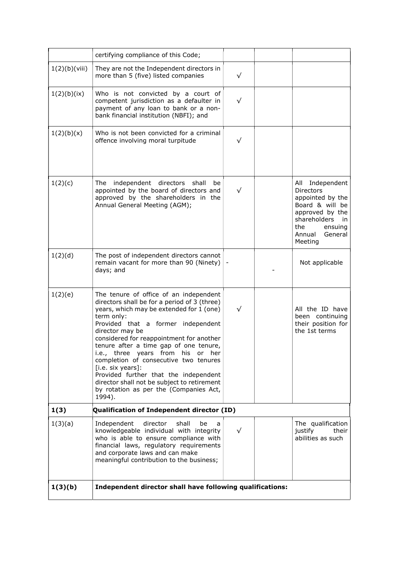|               | certifying compliance of this Code;                                                                                                                                                                                                                                                                                                                                                                                                                                                                                                            |           |  |                                                                                                                                                                          |
|---------------|------------------------------------------------------------------------------------------------------------------------------------------------------------------------------------------------------------------------------------------------------------------------------------------------------------------------------------------------------------------------------------------------------------------------------------------------------------------------------------------------------------------------------------------------|-----------|--|--------------------------------------------------------------------------------------------------------------------------------------------------------------------------|
| 1(2)(b)(viii) | They are not the Independent directors in<br>more than 5 (five) listed companies                                                                                                                                                                                                                                                                                                                                                                                                                                                               | $\sqrt{}$ |  |                                                                                                                                                                          |
| 1(2)(b)(ix)   | Who is not convicted by a court of<br>competent jurisdiction as a defaulter in<br>payment of any loan to bank or a non-<br>bank financial institution (NBFI); and                                                                                                                                                                                                                                                                                                                                                                              | $\sqrt{}$ |  |                                                                                                                                                                          |
| 1(2)(b)(x)    | Who is not been convicted for a criminal<br>offence involving moral turpitude                                                                                                                                                                                                                                                                                                                                                                                                                                                                  | √         |  |                                                                                                                                                                          |
| 1(2)(c)       | The independent directors<br>shall<br>be<br>appointed by the board of directors and<br>approved by the shareholders in the<br>Annual General Meeting (AGM);                                                                                                                                                                                                                                                                                                                                                                                    | $\sqrt{}$ |  | All<br>Independent<br><b>Directors</b><br>appointed by the<br>Board & will be<br>approved by the<br>shareholders<br>in<br>the<br>ensuing<br>Annual<br>General<br>Meeting |
| 1(2)(d)       | The post of independent directors cannot<br>remain vacant for more than 90 (Ninety)<br>days; and                                                                                                                                                                                                                                                                                                                                                                                                                                               |           |  | Not applicable                                                                                                                                                           |
| 1(2)(e)       | The tenure of office of an independent<br>directors shall be for a period of 3 (three)<br>years, which may be extended for 1 (one)<br>term only:<br>Provided that a former independent<br>director may be<br>considered for reappointment for another<br>tenure after a time gap of one tenure,<br>i.e., three years from his or her<br>completion of consecutive two tenures<br>[i.e. six years]:<br>Provided further that the independent<br>director shall not be subject to retirement<br>by rotation as per the (Companies Act,<br>1994). | √         |  | All the ID have<br>been continuing<br>their position for<br>the 1st terms                                                                                                |
| 1(3)          | Qualification of Independent director (ID)                                                                                                                                                                                                                                                                                                                                                                                                                                                                                                     |           |  |                                                                                                                                                                          |
| 1(3)(a)       | director<br>Independent<br>shall<br>be<br>a<br>knowledgeable individual with integrity<br>who is able to ensure compliance with<br>financial laws, regulatory requirements<br>and corporate laws and can make<br>meaningful contribution to the business;                                                                                                                                                                                                                                                                                      | $\sqrt{}$ |  | The qualification<br>justify<br>their<br>abilities as such                                                                                                               |
| 1(3)(b)       | Independent director shall have following qualifications:                                                                                                                                                                                                                                                                                                                                                                                                                                                                                      |           |  |                                                                                                                                                                          |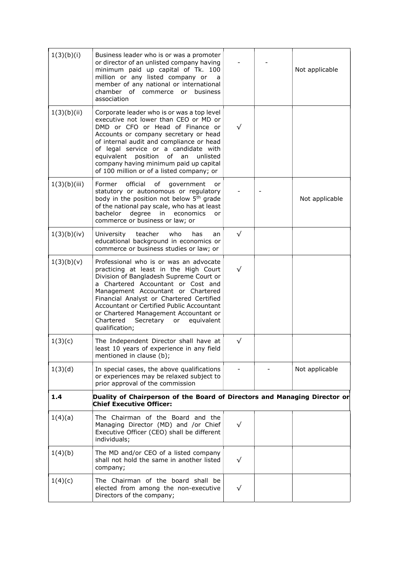| 1(3)(b)(i)   | Business leader who is or was a promoter<br>or director of an unlisted company having<br>minimum paid up capital of Tk. 100<br>million or any listed company or<br>a<br>member of any national or international<br>chamber of commerce or business<br>association                                                                                                                                        |           | Not applicable |
|--------------|----------------------------------------------------------------------------------------------------------------------------------------------------------------------------------------------------------------------------------------------------------------------------------------------------------------------------------------------------------------------------------------------------------|-----------|----------------|
| 1(3)(b)(ii)  | Corporate leader who is or was a top level<br>executive not lower than CEO or MD or<br>DMD or CFO or Head of Finance or<br>Accounts or company secretary or head<br>of internal audit and compliance or head<br>of legal service or a candidate with<br>equivalent position of<br>an<br>unlisted<br>company having minimum paid up capital<br>of 100 million or of a listed company; or                  | $\sqrt{}$ |                |
| 1(3)(b)(iii) | official<br>οf<br>Former<br>government<br>or<br>statutory or autonomous or regulatory<br>body in the position not below 5 <sup>th</sup> grade<br>of the national pay scale, who has at least<br>degree<br>bachelor<br>in<br>economics<br>or<br>commerce or business or law; or                                                                                                                           |           | Not applicable |
| 1(3)(b)(iv)  | teacher<br>who<br>University<br>has<br>an<br>educational background in economics or<br>commerce or business studies or law; or                                                                                                                                                                                                                                                                           | $\sqrt{}$ |                |
| 1(3)(b)(v)   | Professional who is or was an advocate<br>practicing at least in the High Court<br>Division of Bangladesh Supreme Court or<br>a Chartered Accountant or Cost and<br>Management Accountant or Chartered<br>Financial Analyst or Chartered Certified<br>Accountant or Certified Public Accountant<br>or Chartered Management Accountant or<br>Chartered<br>Secretary<br>equivalent<br>or<br>qualification; | $\sqrt{}$ |                |
| 1(3)(c)      | The Independent Director shall have at<br>least 10 years of experience in any field<br>mentioned in clause (b);                                                                                                                                                                                                                                                                                          | $\sqrt{}$ |                |
| 1(3)(d)      | In special cases, the above qualifications<br>or experiences may be relaxed subject to<br>prior approval of the commission                                                                                                                                                                                                                                                                               |           | Not applicable |
| 1.4          | Duality of Chairperson of the Board of Directors and Managing Director or<br><b>Chief Executive Officer:</b>                                                                                                                                                                                                                                                                                             |           |                |
| 1(4)(a)      | The Chairman of the Board and the<br>Managing Director (MD) and /or Chief<br>Executive Officer (CEO) shall be different<br>individuals;                                                                                                                                                                                                                                                                  | $\sqrt{}$ |                |
| 1(4)(b)      | The MD and/or CEO of a listed company<br>shall not hold the same in another listed<br>company;                                                                                                                                                                                                                                                                                                           | √         |                |
| 1(4)(c)      | The Chairman of the board shall be<br>elected from among the non-executive<br>Directors of the company;                                                                                                                                                                                                                                                                                                  | ✓         |                |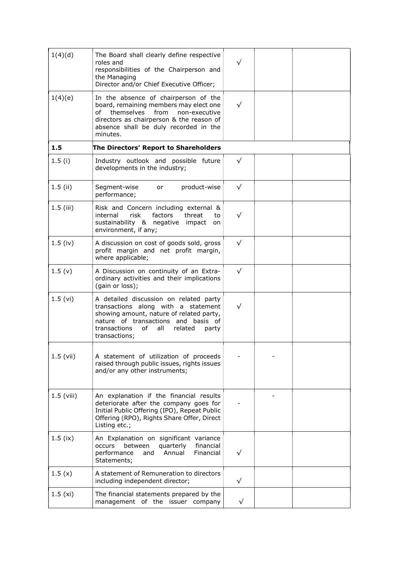| 1(4)(d)      | The Board shall clearly define respective<br>roles and<br>responsibilities of the Chairperson and<br>the Managing<br>Director and/or Chief Executive Officer;                                                                      | √         |  |
|--------------|------------------------------------------------------------------------------------------------------------------------------------------------------------------------------------------------------------------------------------|-----------|--|
| 1(4)(e)      | In the absence of chairperson of the<br>board, remaining members may elect one<br>themselves<br>from<br>non-executive<br>of<br>directors as chairperson & the reason of<br>absence shall be duly recorded in the<br>minutes.       |           |  |
| 1.5          | The Directors' Report to Shareholders                                                                                                                                                                                              |           |  |
| 1.5(i)       | Industry outlook and possible future<br>developments in the industry;                                                                                                                                                              | $\sqrt{}$ |  |
| $1.5$ (ii)   | product-wise<br>Segment-wise<br>or<br>performance;                                                                                                                                                                                 | $\sqrt{}$ |  |
| $1.5$ (iii)  | Risk and Concern including external &<br>internal<br>risk<br>factors<br>threat<br>to<br>sustainability & negative impact<br>on<br>environment, if any;                                                                             |           |  |
| $1.5$ (iv)   | A discussion on cost of goods sold, gross<br>profit margin and net profit margin,<br>where applicable;                                                                                                                             | $\sqrt{}$ |  |
| 1.5(y)       | A Discussion on continuity of an Extra-<br>ordinary activities and their implications<br>(gain or loss);                                                                                                                           | $\sqrt{}$ |  |
| 1.5 (vi)     | A detailed discussion on related party<br>transactions along with a statement<br>showing amount, nature of related party,<br>nature of transactions and basis of<br>transactions<br>of<br>related<br>all<br>party<br>transactions; | ✓         |  |
| $1.5$ (vii)  | A statement of utilization of proceeds<br>raised through public issues, rights issues<br>and/or any other instruments;                                                                                                             |           |  |
| $1.5$ (viii) | An explanation if the financial results<br>deteriorate after the company goes for<br>Initial Public Offering (IPO), Repeat Public<br>Offering (RPO), Rights Share Offer, Direct<br>Listing etc.;                                   |           |  |
| $1.5$ (ix)   | An Explanation on significant variance<br>between<br>quarterly<br>financial<br>occurs<br>performance<br>Annual<br>Financial<br>and<br>Statements;                                                                                  |           |  |
| 1.5(x)       | A statement of Remuneration to directors<br>including independent director;                                                                                                                                                        | $\sqrt{}$ |  |
| 1.5(x)       | The financial statements prepared by the<br>management of the issuer company                                                                                                                                                       | $\sqrt{}$ |  |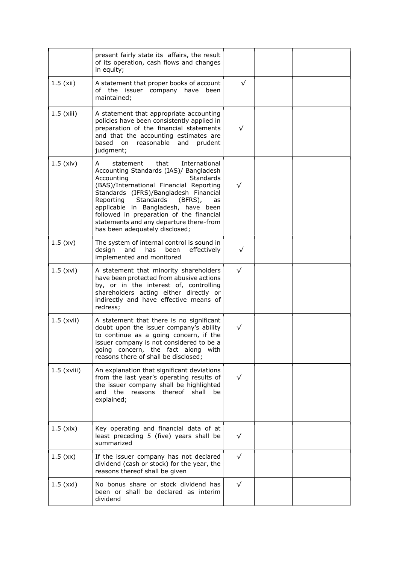|               | present fairly state its affairs, the result<br>of its operation, cash flows and changes<br>in equity;                                                                                                                                                                                                                                                                                                             |            |  |
|---------------|--------------------------------------------------------------------------------------------------------------------------------------------------------------------------------------------------------------------------------------------------------------------------------------------------------------------------------------------------------------------------------------------------------------------|------------|--|
| $1.5$ (xii)   | A statement that proper books of account<br>of the issuer company have been<br>maintained;                                                                                                                                                                                                                                                                                                                         | $\sqrt{}$  |  |
| $1.5$ (xiii)  | A statement that appropriate accounting<br>policies have been consistently applied in<br>preparation of the financial statements<br>and that the accounting estimates are<br>based on<br>reasonable<br>prudent<br>and<br>judgment;                                                                                                                                                                                 | $\sqrt{}$  |  |
| $1.5$ (xiv)   | that<br>statement<br>International<br>A<br>Accounting Standards (IAS)/ Bangladesh<br>Accounting<br><b>Standards</b><br>(BAS)/International Financial Reporting<br>Standards (IFRS)/Bangladesh Financial<br>Standards<br>Reporting<br>(BFRS),<br>as<br>applicable in Bangladesh, have been<br>followed in preparation of the financial<br>statements and any departure there-from<br>has been adequately disclosed; | $\sqrt{}$  |  |
| 1.5(xv)       | The system of internal control is sound in<br>effectively<br>design<br>and<br>has<br>been<br>implemented and monitored                                                                                                                                                                                                                                                                                             | √          |  |
| $1.5$ (xvi)   | A statement that minority shareholders<br>have been protected from abusive actions<br>by, or in the interest of, controlling<br>shareholders acting either directly or<br>indirectly and have effective means of<br>redress;                                                                                                                                                                                       | $\sqrt{}$  |  |
| $1.5$ (xvii)  | A statement that there is no significant<br>doubt upon the issuer company's ability<br>to continue as a going concern, if the<br>issuer company is not considered to be a<br>going concern, the fact along with<br>reasons there of shall be disclosed;                                                                                                                                                            | $\sqrt{}$  |  |
| $1.5$ (xviii) | An explanation that significant deviations<br>from the last year's operating results of<br>the issuer company shall be highlighted<br>reasons thereof<br>and the<br>shall<br>be<br>explained;                                                                                                                                                                                                                      | $\sqrt{}$  |  |
| $1.5$ (xix)   | Key operating and financial data of at<br>least preceding 5 (five) years shall be<br>summarized                                                                                                                                                                                                                                                                                                                    | $\sqrt{}$  |  |
| 1.5(xx)       | If the issuer company has not declared<br>dividend (cash or stock) for the year, the<br>reasons thereof shall be given                                                                                                                                                                                                                                                                                             | $\sqrt{ }$ |  |
| $1.5$ (xxi)   | No bonus share or stock dividend has<br>been or shall be declared as interim<br>dividend                                                                                                                                                                                                                                                                                                                           | $\sqrt{}$  |  |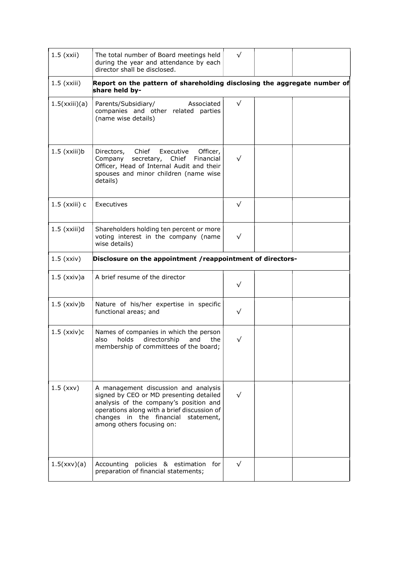| $1.5$ (xxii)         | The total number of Board meetings held<br>during the year and attendance by each<br>director shall be disclosed.                                                                                                                            | $\sqrt{}$  |  |
|----------------------|----------------------------------------------------------------------------------------------------------------------------------------------------------------------------------------------------------------------------------------------|------------|--|
| $1.5$ ( $xxiii$ )    | Report on the pattern of shareholding disclosing the aggregate number of<br>share held by-                                                                                                                                                   |            |  |
| 1.5(xxiii)(a)        | Parents/Subsidiary/<br>Associated<br>companies and other related parties<br>(name wise details)                                                                                                                                              | $\sqrt{ }$ |  |
| $1.5$ (xxiii) $b$    | Directors, Chief Executive<br>Officer,<br>secretary, Chief Financial<br>Company<br>Officer, Head of Internal Audit and their<br>spouses and minor children (name wise<br>details)                                                            | $\sqrt{}$  |  |
| $1.5$ (xxiii) $c$    | Executives                                                                                                                                                                                                                                   | $\sqrt{}$  |  |
| $1.5$ (xxiii)d       | Shareholders holding ten percent or more<br>voting interest in the company (name<br>wise details)                                                                                                                                            | $\sqrt{}$  |  |
| $1.5$ ( $xxiv$ )     | Disclosure on the appointment / reappointment of directors-                                                                                                                                                                                  |            |  |
| $1.5$ (xxiv)a        | A brief resume of the director                                                                                                                                                                                                               | √          |  |
| $1.5$ (xxiv) $b$     | Nature of his/her expertise in specific<br>functional areas; and                                                                                                                                                                             | $\sqrt{}$  |  |
| $1.5$ ( $xxiv$ ) $c$ | Names of companies in which the person<br>holds<br>directorship<br>and<br>also<br>the<br>membership of committees of the board;                                                                                                              | $\sqrt{}$  |  |
| $1.5$ (xxv)          | A management discussion and analysis<br>signed by CEO or MD presenting detailed<br>analysis of the company's position and<br>operations along with a brief discussion of<br>changes in the financial statement,<br>among others focusing on: | $\sqrt{}$  |  |
| 1.5(xxy)(a)          | Accounting policies & estimation<br>for<br>preparation of financial statements;                                                                                                                                                              | $\sqrt{}$  |  |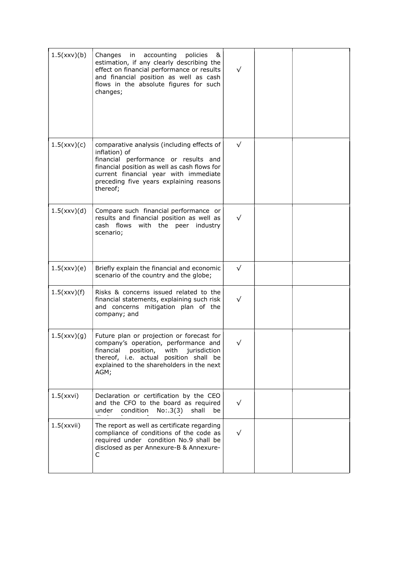| 1.5(xxy)(b) | Changes<br>accounting<br>policies<br>in<br>&<br>estimation, if any clearly describing the<br>effect on financial performance or results<br>and financial position as well as cash<br>flows in the absolute figures for such<br>changes;             | $\sqrt{}$ |  |
|-------------|-----------------------------------------------------------------------------------------------------------------------------------------------------------------------------------------------------------------------------------------------------|-----------|--|
| 1.5(xxy)(c) | comparative analysis (including effects of<br>inflation) of<br>financial performance or results and<br>financial position as well as cash flows for<br>current financial year with immediate<br>preceding five years explaining reasons<br>thereof; | $\sqrt{}$ |  |
| 1.5(xxy)(d) | Compare such financial performance or<br>results and financial position as well as<br>cash flows<br>with the peer industry<br>scenario;                                                                                                             | $\sqrt{}$ |  |
| 1.5(xxy)(e) | Briefly explain the financial and economic<br>scenario of the country and the globe;                                                                                                                                                                | $\sqrt{}$ |  |
| 1.5(xxy)(f) | Risks & concerns issued related to the<br>financial statements, explaining such risk<br>and concerns mitigation plan of the<br>company; and                                                                                                         | $\sqrt{}$ |  |
| 1.5(xxy)(g) | Future plan or projection or forecast for<br>company's operation, performance and<br>position,<br>financial<br>with<br>jurisdiction<br>thereof, i.e. actual position shall be<br>explained to the shareholders in the next<br>AGM;                  | $\sqrt{}$ |  |
| 1.5(xxvi)   | Declaration or certification by the CEO<br>and the CFO to the board as required<br>under condition<br>No: .3(3)<br>shall<br>be                                                                                                                      | $\sqrt{}$ |  |
| 1.5(xxvii)  | The report as well as certificate regarding<br>compliance of conditions of the code as<br>required under condition No.9 shall be<br>disclosed as per Annexure-B & Annexure-<br>C.                                                                   | $\sqrt{}$ |  |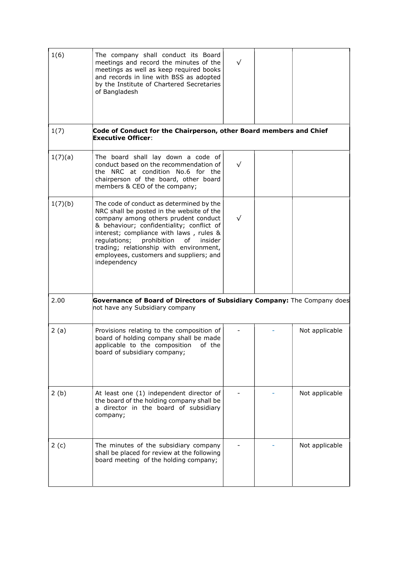| 1(6)    | The company shall conduct its Board<br>meetings and record the minutes of the<br>meetings as well as keep required books<br>and records in line with BSS as adopted<br>by the Institute of Chartered Secretaries<br>of Bangladesh                                                                                                                                           | $\sqrt{}$ |                |
|---------|-----------------------------------------------------------------------------------------------------------------------------------------------------------------------------------------------------------------------------------------------------------------------------------------------------------------------------------------------------------------------------|-----------|----------------|
| 1(7)    | Code of Conduct for the Chairperson, other Board members and Chief<br><b>Executive Officer:</b>                                                                                                                                                                                                                                                                             |           |                |
| 1(7)(a) | The board shall lay down a code of<br>conduct based on the recommendation of<br>the NRC at condition No.6 for the<br>chairperson of the board, other board<br>members & CEO of the company;                                                                                                                                                                                 | $\sqrt{}$ |                |
| 1(7)(b) | The code of conduct as determined by the<br>NRC shall be posted in the website of the<br>company among others prudent conduct<br>& behaviour; confidentiality; conflict of<br>interest; compliance with laws, rules &<br>regulations;<br>prohibition<br>insider<br>of<br>trading; relationship with environment,<br>employees, customers and suppliers; and<br>independency | $\sqrt{}$ |                |
| 2.00    | Governance of Board of Directors of Subsidiary Company: The Company does<br>not have any Subsidiary company                                                                                                                                                                                                                                                                 |           |                |
| 2(a)    | Provisions relating to the composition of<br>board of holding company shall be made<br>applicable to the composition of the<br>board of subsidiary company;                                                                                                                                                                                                                 |           | Not applicable |
| 2(b)    | At least one (1) independent director of<br>the board of the holding company shall be<br>a director in the board of subsidiary<br>company;                                                                                                                                                                                                                                  |           | Not applicable |
| 2(c)    | The minutes of the subsidiary company<br>shall be placed for review at the following<br>board meeting of the holding company;                                                                                                                                                                                                                                               |           | Not applicable |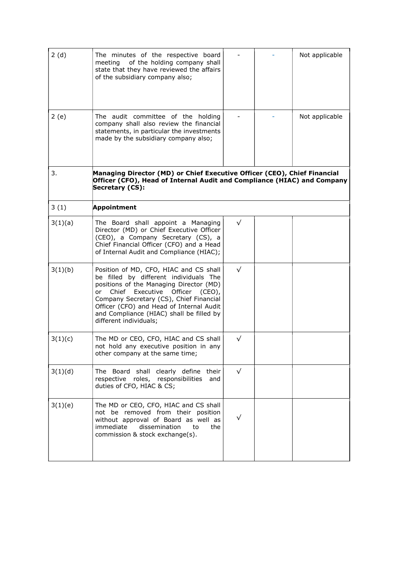| 2(d)    | The minutes of the respective board<br>meeting of the holding company shall<br>state that they have reviewed the affairs<br>of the subsidiary company also;                                                                                                                                                                   |           | Not applicable |
|---------|-------------------------------------------------------------------------------------------------------------------------------------------------------------------------------------------------------------------------------------------------------------------------------------------------------------------------------|-----------|----------------|
| 2(e)    | The audit committee of the holding<br>company shall also review the financial<br>statements, in particular the investments<br>made by the subsidiary company also;                                                                                                                                                            |           | Not applicable |
| 3.      | Managing Director (MD) or Chief Executive Officer (CEO), Chief Financial<br>Officer (CFO), Head of Internal Audit and Compliance (HIAC) and Company<br>Secretary (CS):                                                                                                                                                        |           |                |
| 3(1)    | <b>Appointment</b>                                                                                                                                                                                                                                                                                                            |           |                |
| 3(1)(a) | The Board shall appoint a Managing<br>Director (MD) or Chief Executive Officer<br>(CEO), a Company Secretary (CS), a<br>Chief Financial Officer (CFO) and a Head<br>of Internal Audit and Compliance (HIAC);                                                                                                                  | $\sqrt{}$ |                |
| 3(1)(b) | Position of MD, CFO, HIAC and CS shall<br>be filled by different individuals The<br>positions of the Managing Director (MD)<br>or Chief Executive Officer (CEO),<br>Company Secretary (CS), Chief Financial<br>Officer (CFO) and Head of Internal Audit<br>and Compliance (HIAC) shall be filled by<br>different individuals; | √         |                |
| 3(1)(c) | The MD or CEO, CFO, HIAC and CS shall<br>not hold any executive position in any<br>other company at the same time;                                                                                                                                                                                                            | √         |                |
| 3(1)(d) | The Board shall clearly define their<br>respective roles, responsibilities<br>and<br>duties of CFO, HIAC & CS;                                                                                                                                                                                                                | $\sqrt{}$ |                |
| 3(1)(e) | The MD or CEO, CFO, HIAC and CS shall<br>not be removed from their position<br>without approval of Board as well as<br>immediate<br>dissemination<br>to<br>the<br>commission & stock exchange(s).                                                                                                                             |           |                |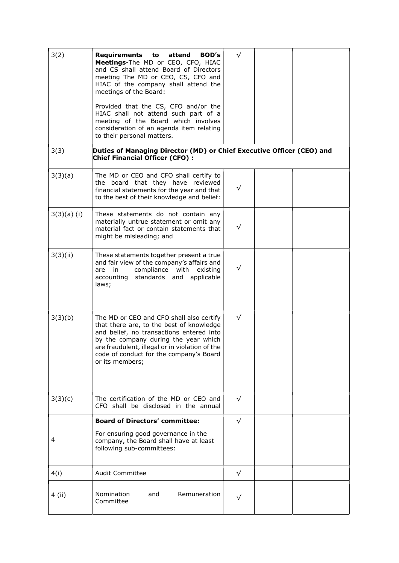| 3(2)          | Requirements to<br>attend<br><b>BOD's</b><br>Meetings-The MD or CEO, CFO, HIAC<br>and CS shall attend Board of Directors<br>meeting The MD or CEO, CS, CFO and<br>HIAC of the company shall attend the<br>meetings of the Board:                                                         | $\sqrt{}$ |  |
|---------------|------------------------------------------------------------------------------------------------------------------------------------------------------------------------------------------------------------------------------------------------------------------------------------------|-----------|--|
|               | Provided that the CS, CFO and/or the<br>HIAC shall not attend such part of a<br>meeting of the Board which involves<br>consideration of an agenda item relating<br>to their personal matters.                                                                                            |           |  |
| 3(3)          | Duties of Managing Director (MD) or Chief Executive Officer (CEO) and<br><b>Chief Financial Officer (CFO):</b>                                                                                                                                                                           |           |  |
| 3(3)(a)       | The MD or CEO and CFO shall certify to<br>the board that they have reviewed<br>financial statements for the year and that<br>to the best of their knowledge and belief:                                                                                                                  | $\sqrt{}$ |  |
| $3(3)(a)$ (i) | These statements do not contain any<br>materially untrue statement or omit any<br>material fact or contain statements that<br>might be misleading; and                                                                                                                                   | $\sqrt{}$ |  |
| 3(3)(ii)      | These statements together present a true<br>and fair view of the company's affairs and<br>compliance with existing<br>are in<br>standards and<br>applicable<br>accounting<br>laws;                                                                                                       | $\sqrt{}$ |  |
| 3(3)(b)       | The MD or CEO and CFO shall also certify<br>that there are, to the best of knowledge<br>and belief, no transactions entered into<br>by the company during the year which<br>are fraudulent, illegal or in violation of the<br>code of conduct for the company's Board<br>or its members; | $\sqrt{}$ |  |
| 3(3)(c)       | The certification of the MD or CEO and<br>CFO shall be disclosed in the annual                                                                                                                                                                                                           | $\sqrt{}$ |  |
|               | <b>Board of Directors' committee:</b>                                                                                                                                                                                                                                                    | $\sqrt{}$ |  |
| 4             | For ensuring good governance in the<br>company, the Board shall have at least<br>following sub-committees:                                                                                                                                                                               |           |  |
| 4(i)          | <b>Audit Committee</b>                                                                                                                                                                                                                                                                   | $\sqrt{}$ |  |
| 4 (ii)        | Nomination<br>Remuneration<br>and<br>Committee                                                                                                                                                                                                                                           | √         |  |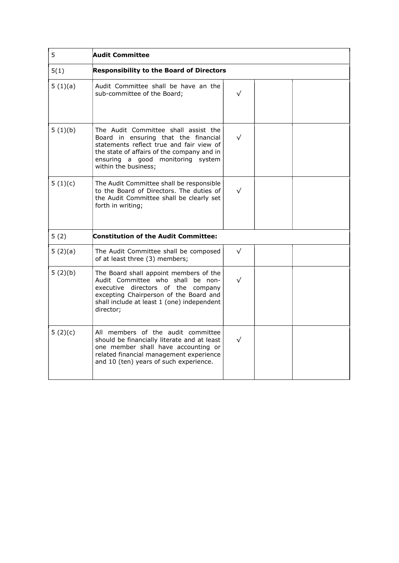| 5       | <b>Audit Committee</b>                                                                                                                                                                                                              |            |  |
|---------|-------------------------------------------------------------------------------------------------------------------------------------------------------------------------------------------------------------------------------------|------------|--|
| 5(1)    | <b>Responsibility to the Board of Directors</b>                                                                                                                                                                                     |            |  |
| 5(1)(a) | Audit Committee shall be have an the<br>sub-committee of the Board;                                                                                                                                                                 | √          |  |
| 5(1)(b) | The Audit Committee shall assist the<br>Board in ensuring that the financial<br>statements reflect true and fair view of<br>the state of affairs of the company and in<br>ensuring a good monitoring system<br>within the business; | $\sqrt{}$  |  |
| 5(1)(c) | The Audit Committee shall be responsible<br>to the Board of Directors. The duties of<br>the Audit Committee shall be clearly set<br>forth in writing;                                                                               | $\sqrt{}$  |  |
| 5(2)    | <b>Constitution of the Audit Committee:</b>                                                                                                                                                                                         |            |  |
| 5(2)(a) | The Audit Committee shall be composed<br>of at least three (3) members;                                                                                                                                                             | $\sqrt{ }$ |  |
| 5(2)(b) | The Board shall appoint members of the<br>Audit Committee who shall be non-<br>executive directors of the company<br>excepting Chairperson of the Board and<br>shall include at least 1 (one) independent<br>director;              | $\sqrt{}$  |  |
| 5(2)(c) | All members of the audit committee<br>should be financially literate and at least<br>one member shall have accounting or<br>related financial management experience<br>and 10 (ten) years of such experience.                       | $\sqrt{}$  |  |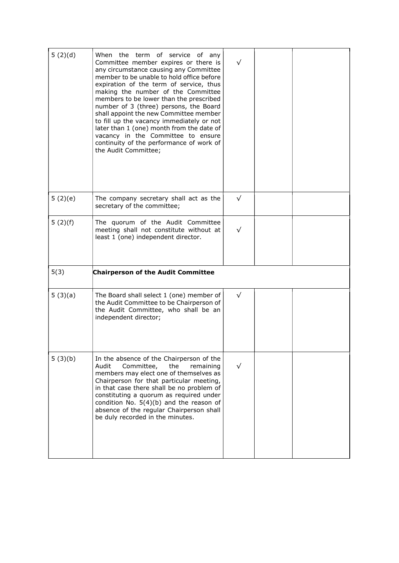| 5(2)(d) | When the term of service of any<br>Committee member expires or there is<br>any circumstance causing any Committee<br>member to be unable to hold office before<br>expiration of the term of service, thus<br>making the number of the Committee<br>members to be lower than the prescribed<br>number of 3 (three) persons, the Board<br>shall appoint the new Committee member<br>to fill up the vacancy immediately or not<br>later than 1 (one) month from the date of<br>vacancy in the Committee to ensure<br>continuity of the performance of work of<br>the Audit Committee; |           |  |
|---------|------------------------------------------------------------------------------------------------------------------------------------------------------------------------------------------------------------------------------------------------------------------------------------------------------------------------------------------------------------------------------------------------------------------------------------------------------------------------------------------------------------------------------------------------------------------------------------|-----------|--|
| 5(2)(e) | The company secretary shall act as the<br>secretary of the committee;                                                                                                                                                                                                                                                                                                                                                                                                                                                                                                              | $\sqrt{}$ |  |
| 5(2)(f) | The quorum of the Audit Committee<br>meeting shall not constitute without at<br>least 1 (one) independent director.                                                                                                                                                                                                                                                                                                                                                                                                                                                                | $\sqrt{}$ |  |
| 5(3)    | <b>Chairperson of the Audit Committee</b>                                                                                                                                                                                                                                                                                                                                                                                                                                                                                                                                          |           |  |
| 5(3)(a) | The Board shall select 1 (one) member of<br>the Audit Committee to be Chairperson of<br>the Audit Committee, who shall be an<br>independent director;                                                                                                                                                                                                                                                                                                                                                                                                                              | $\sqrt{}$ |  |
| 5(3)(b) | In the absence of the Chairperson of the<br>Audit<br>Committee,<br>the<br>remaining<br>members may elect one of themselves as<br>Chairperson for that particular meeting,<br>in that case there shall be no problem of<br>constituting a quorum as required under<br>condition No. $5(4)(b)$ and the reason of<br>absence of the regular Chairperson shall<br>be duly recorded in the minutes.                                                                                                                                                                                     | √         |  |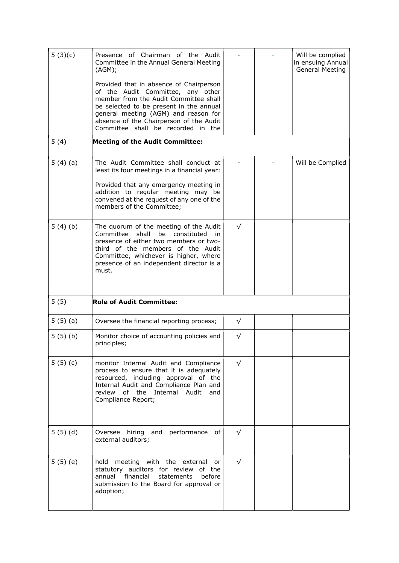| 5(3)(c) | Presence of Chairman of the Audit<br>Committee in the Annual General Meeting<br>(AGM);<br>Provided that in absence of Chairperson<br>of the Audit Committee, any other<br>member from the Audit Committee shall<br>be selected to be present in the annual<br>general meeting (AGM) and reason for<br>absence of the Chairperson of the Audit<br>Committee shall be recorded in the |            | Will be complied<br>in ensuing Annual<br><b>General Meeting</b> |
|---------|-------------------------------------------------------------------------------------------------------------------------------------------------------------------------------------------------------------------------------------------------------------------------------------------------------------------------------------------------------------------------------------|------------|-----------------------------------------------------------------|
| 5(4)    | <b>Meeting of the Audit Committee:</b>                                                                                                                                                                                                                                                                                                                                              |            |                                                                 |
| 5(4)(a) | The Audit Committee shall conduct at<br>least its four meetings in a financial year:<br>Provided that any emergency meeting in<br>addition to regular meeting may be<br>convened at the request of any one of the<br>members of the Committee;                                                                                                                                      |            | Will be Complied                                                |
| 5(4)(b) | The quorum of the meeting of the Audit<br>Committee<br>shall<br>be constituted<br>in<br>presence of either two members or two-<br>third of the members of the Audit<br>Committee, whichever is higher, where<br>presence of an independent director is a<br>must.                                                                                                                   | $\sqrt{}$  |                                                                 |
| 5(5)    | <b>Role of Audit Committee:</b>                                                                                                                                                                                                                                                                                                                                                     |            |                                                                 |
| 5(5)(a) | Oversee the financial reporting process;                                                                                                                                                                                                                                                                                                                                            | $\sqrt{}$  |                                                                 |
| 5(5)(b) | Monitor choice of accounting policies and<br>principles;                                                                                                                                                                                                                                                                                                                            | $\sqrt{}$  |                                                                 |
| 5(5)(c) | monitor Internal Audit and Compliance<br>process to ensure that it is adequately<br>resourced, including approval of the<br>Internal Audit and Compliance Plan and<br>review of the Internal Audit<br>and<br>Compliance Report;                                                                                                                                                     | $\sqrt{}$  |                                                                 |
| 5(5)(d) | Oversee hiring and performance<br>of                                                                                                                                                                                                                                                                                                                                                | $\sqrt{ }$ |                                                                 |
|         | external auditors;                                                                                                                                                                                                                                                                                                                                                                  |            |                                                                 |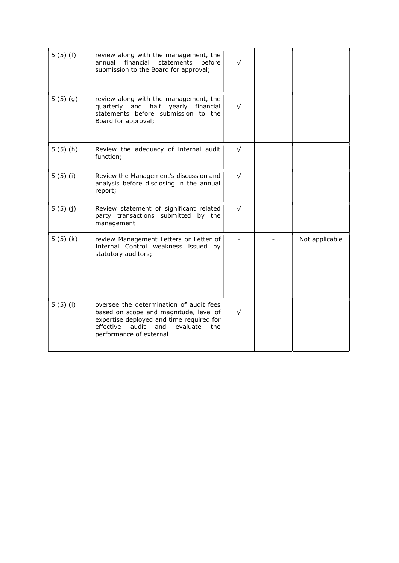| 5(5)(f) | review along with the management, the<br>annual financial<br>statements<br>before<br>submission to the Board for approval;                                                                               |           |                |
|---------|----------------------------------------------------------------------------------------------------------------------------------------------------------------------------------------------------------|-----------|----------------|
| 5(5)(9) | review along with the management, the<br>quarterly and half yearly financial<br>statements before submission to the<br>Board for approval;                                                               | $\sqrt{}$ |                |
| 5(5)(h) | Review the adequacy of internal audit<br>function;                                                                                                                                                       | $\sqrt{}$ |                |
| 5(5)(i) | Review the Management's discussion and<br>analysis before disclosing in the annual<br>report;                                                                                                            | $\sqrt{}$ |                |
| 5(5)(j) | Review statement of significant related<br>party transactions submitted by the<br>management                                                                                                             | $\sqrt{}$ |                |
| 5(5)(k) | review Management Letters or Letter of<br>Internal Control weakness issued by<br>statutory auditors;                                                                                                     |           | Not applicable |
| 5(5)(1) | oversee the determination of audit fees<br>based on scope and magnitude, level of<br>expertise deployed and time required for<br>effective<br>audit<br>and<br>evaluate<br>the<br>performance of external | √         |                |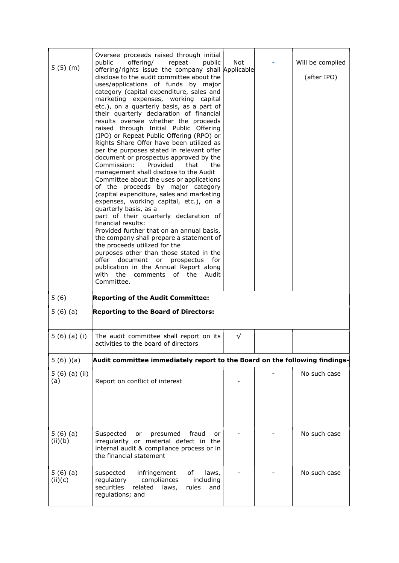| 5(5)(m)            | Oversee proceeds raised through initial<br>offering/<br>repeat<br>public<br>public<br>offering/rights issue the company shall Applicable<br>disclose to the audit committee about the<br>uses/applications of funds by major<br>category (capital expenditure, sales and<br>marketing expenses, working capital<br>etc.), on a quarterly basis, as a part of<br>their quarterly declaration of financial<br>results oversee whether the proceeds<br>raised through Initial Public Offering<br>(IPO) or Repeat Public Offering (RPO) or<br>Rights Share Offer have been utilized as<br>per the purposes stated in relevant offer<br>document or prospectus approved by the<br>Commission:<br>Provided<br>that<br>the<br>management shall disclose to the Audit<br>Committee about the uses or applications<br>of the proceeds by major category<br>(capital expenditure, sales and marketing<br>expenses, working capital, etc.), on a<br>quarterly basis, as a<br>part of their quarterly declaration of<br>financial results:<br>Provided further that on an annual basis,<br>the company shall prepare a statement of<br>the proceeds utilized for the<br>purposes other than those stated in the<br>offer document or prospectus<br>for<br>publication in the Annual Report along<br>with<br>the<br>of the<br>Audit<br>comments<br>Committee. | <b>Not</b> | Will be complied<br>(after IPO) |
|--------------------|--------------------------------------------------------------------------------------------------------------------------------------------------------------------------------------------------------------------------------------------------------------------------------------------------------------------------------------------------------------------------------------------------------------------------------------------------------------------------------------------------------------------------------------------------------------------------------------------------------------------------------------------------------------------------------------------------------------------------------------------------------------------------------------------------------------------------------------------------------------------------------------------------------------------------------------------------------------------------------------------------------------------------------------------------------------------------------------------------------------------------------------------------------------------------------------------------------------------------------------------------------------------------------------------------------------------------------------------------|------------|---------------------------------|
| 5(6)               | <b>Reporting of the Audit Committee:</b>                                                                                                                                                                                                                                                                                                                                                                                                                                                                                                                                                                                                                                                                                                                                                                                                                                                                                                                                                                                                                                                                                                                                                                                                                                                                                                         |            |                                 |
| 5(6)(a)            | <b>Reporting to the Board of Directors:</b>                                                                                                                                                                                                                                                                                                                                                                                                                                                                                                                                                                                                                                                                                                                                                                                                                                                                                                                                                                                                                                                                                                                                                                                                                                                                                                      |            |                                 |
| 5(6)(a)(i)         | The audit committee shall report on its<br>activities to the board of directors                                                                                                                                                                                                                                                                                                                                                                                                                                                                                                                                                                                                                                                                                                                                                                                                                                                                                                                                                                                                                                                                                                                                                                                                                                                                  | $\sqrt{}$  |                                 |
| $5(6)$ $(a)$       | Audit committee immediately report to the Board on the following findings-                                                                                                                                                                                                                                                                                                                                                                                                                                                                                                                                                                                                                                                                                                                                                                                                                                                                                                                                                                                                                                                                                                                                                                                                                                                                       |            |                                 |
| 5(6)(a)(ii)<br>(a) | Report on conflict of interest                                                                                                                                                                                                                                                                                                                                                                                                                                                                                                                                                                                                                                                                                                                                                                                                                                                                                                                                                                                                                                                                                                                                                                                                                                                                                                                   |            | No such case                    |
| 5(6)(a)<br>(ii)(b) | Suspected<br>fraud<br>or<br>presumed<br>or<br>irregularity or material defect in the<br>internal audit & compliance process or in<br>the financial statement                                                                                                                                                                                                                                                                                                                                                                                                                                                                                                                                                                                                                                                                                                                                                                                                                                                                                                                                                                                                                                                                                                                                                                                     |            | No such case                    |
| 5(6)(a)<br>(ii)(c) | of<br>suspected<br>infringement<br>laws,<br>regulatory<br>compliances<br>including<br>securities<br>related<br>laws,<br>rules<br>and<br>regulations; and                                                                                                                                                                                                                                                                                                                                                                                                                                                                                                                                                                                                                                                                                                                                                                                                                                                                                                                                                                                                                                                                                                                                                                                         |            | No such case                    |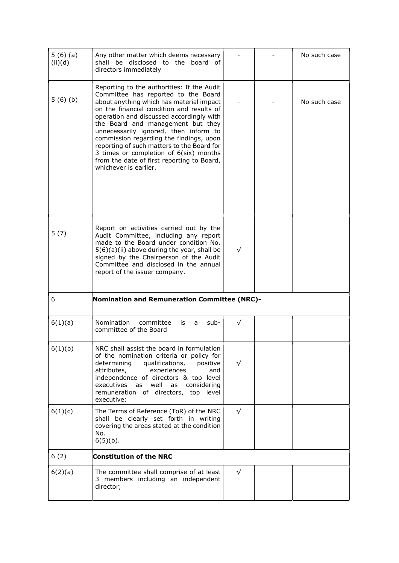| 5(6)(a)<br>(ii)(d) | Any other matter which deems necessary<br>shall be disclosed to the board of<br>directors immediately                                                                                                                                                                                                                                                                                                                                                                                                          |           | No such case |
|--------------------|----------------------------------------------------------------------------------------------------------------------------------------------------------------------------------------------------------------------------------------------------------------------------------------------------------------------------------------------------------------------------------------------------------------------------------------------------------------------------------------------------------------|-----------|--------------|
| 5(6)(b)            | Reporting to the authorities: If the Audit<br>Committee has reported to the Board<br>about anything which has material impact<br>on the financial condition and results of<br>operation and discussed accordingly with<br>the Board and management but they<br>unnecessarily ignored, then inform to<br>commission regarding the findings, upon<br>reporting of such matters to the Board for<br>3 times or completion of 6(six) months<br>from the date of first reporting to Board,<br>whichever is earlier. |           | No such case |
| 5(7)               | Report on activities carried out by the<br>Audit Committee, including any report<br>made to the Board under condition No.<br>$5(6)(a)(ii)$ above during the year, shall be<br>signed by the Chairperson of the Audit<br>Committee and disclosed in the annual<br>report of the issuer company.                                                                                                                                                                                                                 | $\sqrt{}$ |              |
| 6                  | <b>Nomination and Remuneration Committee (NRC)-</b>                                                                                                                                                                                                                                                                                                                                                                                                                                                            |           |              |
| 6(1)(a)            | Nomination<br>committee<br>is<br>sub-<br>a<br>committee of the Board                                                                                                                                                                                                                                                                                                                                                                                                                                           | $\sqrt{}$ |              |
| 6(1)(b)            | NRC shall assist the board in formulation<br>of the nomination criteria or policy for<br>determining<br>qualifications,<br>positive<br>attributes,<br>experiences<br>and<br>independence of directors & top level<br>executives<br>well<br>as<br>as<br>considering<br>remuneration of directors, top level<br>executive:                                                                                                                                                                                       |           |              |
| 6(1)(c)            | The Terms of Reference (ToR) of the NRC<br>shall be clearly set forth in writing<br>covering the areas stated at the condition<br>No.<br>$6(5)(b)$ .                                                                                                                                                                                                                                                                                                                                                           | $\sqrt{}$ |              |
| 6(2)               | <b>Constitution of the NRC</b>                                                                                                                                                                                                                                                                                                                                                                                                                                                                                 |           |              |
| 6(2)(a)            | The committee shall comprise of at least<br>3 members including an independent<br>director;                                                                                                                                                                                                                                                                                                                                                                                                                    | $\sqrt{}$ |              |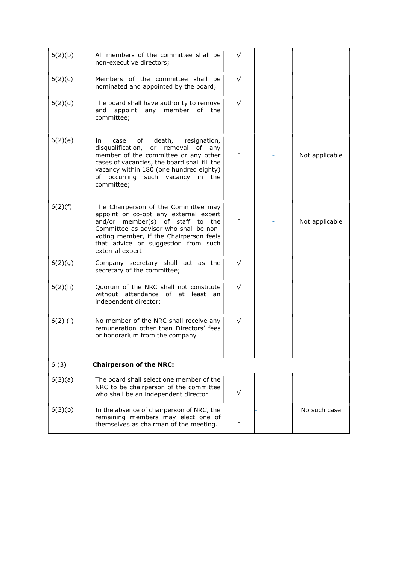| 6(2)(b)    | All members of the committee shall be<br>non-executive directors;                                                                                                                                                                                                      | $\sqrt{}$ |                |
|------------|------------------------------------------------------------------------------------------------------------------------------------------------------------------------------------------------------------------------------------------------------------------------|-----------|----------------|
| 6(2)(c)    | Members of the committee shall be<br>nominated and appointed by the board;                                                                                                                                                                                             | $\sqrt{}$ |                |
| 6(2)(d)    | The board shall have authority to remove<br>any member<br>of the<br>and<br>appoint<br>committee;                                                                                                                                                                       | $\sqrt{}$ |                |
| 6(2)(e)    | In<br>death,<br>resignation,<br>case<br>of<br>disqualification, or removal of any<br>member of the committee or any other<br>cases of vacancies, the board shall fill the<br>vacancy within 180 (one hundred eighty)<br>of occurring such vacancy in the<br>committee; |           | Not applicable |
| 6(2)(f)    | The Chairperson of the Committee may<br>appoint or co-opt any external expert<br>and/or member(s) of staff to the<br>Committee as advisor who shall be non-<br>voting member, if the Chairperson feels<br>that advice or suggestion from such<br>external expert       |           | Not applicable |
| 6(2)(g)    | Company secretary shall act as the<br>secretary of the committee;                                                                                                                                                                                                      | $\sqrt{}$ |                |
| 6(2)(h)    | Quorum of the NRC shall not constitute<br>without attendance of at least<br>an<br>independent director;                                                                                                                                                                | $\sqrt{}$ |                |
| $6(2)$ (i) | No member of the NRC shall receive any<br>remuneration other than Directors' fees<br>or honorarium from the company                                                                                                                                                    | $\sqrt{}$ |                |
| 6(3)       | <b>Chairperson of the NRC:</b>                                                                                                                                                                                                                                         |           |                |
| 6(3)(a)    | The board shall select one member of the<br>NRC to be chairperson of the committee<br>who shall be an independent director                                                                                                                                             | √         |                |
| 6(3)(b)    | In the absence of chairperson of NRC, the<br>remaining members may elect one of<br>themselves as chairman of the meeting.                                                                                                                                              |           | No such case   |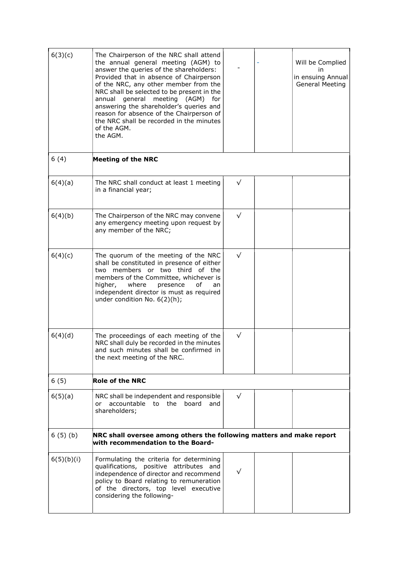| 6(3)(c)    | The Chairperson of the NRC shall attend<br>the annual general meeting (AGM) to<br>answer the queries of the shareholders:<br>Provided that in absence of Chairperson<br>of the NRC, any other member from the<br>NRC shall be selected to be present in the<br>annual general meeting (AGM)<br>for<br>answering the shareholder's queries and<br>reason for absence of the Chairperson of<br>the NRC shall be recorded in the minutes<br>of the AGM.<br>the AGM. |           | Will be Complied<br>in<br>in ensuing Annual<br><b>General Meeting</b> |
|------------|------------------------------------------------------------------------------------------------------------------------------------------------------------------------------------------------------------------------------------------------------------------------------------------------------------------------------------------------------------------------------------------------------------------------------------------------------------------|-----------|-----------------------------------------------------------------------|
| 6(4)       | <b>Meeting of the NRC</b>                                                                                                                                                                                                                                                                                                                                                                                                                                        |           |                                                                       |
| 6(4)(a)    | The NRC shall conduct at least 1 meeting<br>in a financial year;                                                                                                                                                                                                                                                                                                                                                                                                 | $\sqrt{}$ |                                                                       |
| 6(4)(b)    | The Chairperson of the NRC may convene<br>any emergency meeting upon request by<br>any member of the NRC;                                                                                                                                                                                                                                                                                                                                                        | $\sqrt{}$ |                                                                       |
| 6(4)(c)    | The quorum of the meeting of the NRC<br>shall be constituted in presence of either<br>two members or two third of the<br>members of the Committee, whichever is<br>where<br>higher,<br>presence<br>οf<br>an<br>independent director is must as required<br>under condition No. 6(2)(h);                                                                                                                                                                          | $\sqrt{}$ |                                                                       |
| 6(4)(d)    | The proceedings of each meeting of the<br>NRC shall duly be recorded in the minutes<br>and such minutes shall be confirmed in<br>the next meeting of the NRC.                                                                                                                                                                                                                                                                                                    | √         |                                                                       |
| 6(5)       | <b>Role of the NRC</b>                                                                                                                                                                                                                                                                                                                                                                                                                                           |           |                                                                       |
| 6(5)(a)    | NRC shall be independent and responsible<br>accountable to the board<br>or<br>and<br>shareholders;                                                                                                                                                                                                                                                                                                                                                               | $\sqrt{}$ |                                                                       |
| 6(5)(b)    | NRC shall oversee among others the following matters and make report<br>with recommendation to the Board-                                                                                                                                                                                                                                                                                                                                                        |           |                                                                       |
| 6(5)(b)(i) | Formulating the criteria for determining<br>qualifications, positive attributes and<br>independence of director and recommend<br>policy to Board relating to remuneration<br>of the directors, top level executive<br>considering the following-                                                                                                                                                                                                                 | $\sqrt{}$ |                                                                       |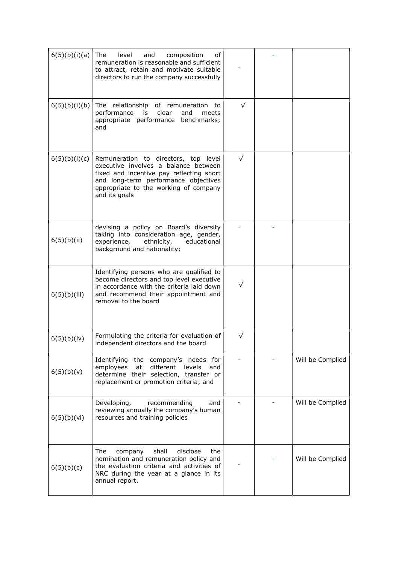| 6(5)(b)(i)(a) | The<br>level<br>and<br>composition<br>of<br>remuneration is reasonable and sufficient<br>to attract, retain and motivate suitable<br>directors to run the company successfully                                             |           |                  |
|---------------|----------------------------------------------------------------------------------------------------------------------------------------------------------------------------------------------------------------------------|-----------|------------------|
| 6(5)(b)(i)(b) | The relationship of remuneration to<br>performance<br>clear<br>and<br>is<br>meets<br>appropriate performance benchmarks;<br>and                                                                                            | $\sqrt{}$ |                  |
| 6(5)(b)(i)(c) | Remuneration to directors, top level<br>executive involves a balance between<br>fixed and incentive pay reflecting short<br>and long-term performance objectives<br>appropriate to the working of company<br>and its goals | $\sqrt{}$ |                  |
| 6(5)(b)(ii)   | devising a policy on Board's diversity<br>taking into consideration age, gender,<br>educational<br>experience,<br>ethnicity,<br>background and nationality;                                                                |           |                  |
| 6(5)(b)(iii)  | Identifying persons who are qualified to<br>become directors and top level executive<br>in accordance with the criteria laid down<br>and recommend their appointment and<br>removal to the board                           | $\sqrt{}$ |                  |
| 6(5)(b)(iv)   | Formulating the criteria for evaluation of<br>independent directors and the board                                                                                                                                          | $\sqrt{}$ |                  |
| 6(5)(b)(v)    | Identifying the company's needs for<br>employees<br>at<br>different<br>levels<br>and<br>determine their selection, transfer or<br>replacement or promotion criteria; and                                                   |           | Will be Complied |
| 6(5)(b)(vi)   | Developing,<br>recommending<br>and<br>reviewing annually the company's human<br>resources and training policies                                                                                                            |           | Will be Complied |
| 6(5)(b)(c)    | The<br>shall<br>disclose<br>company<br>the<br>nomination and remuneration policy and<br>the evaluation criteria and activities of<br>NRC during the year at a glance in its<br>annual report.                              |           | Will be Complied |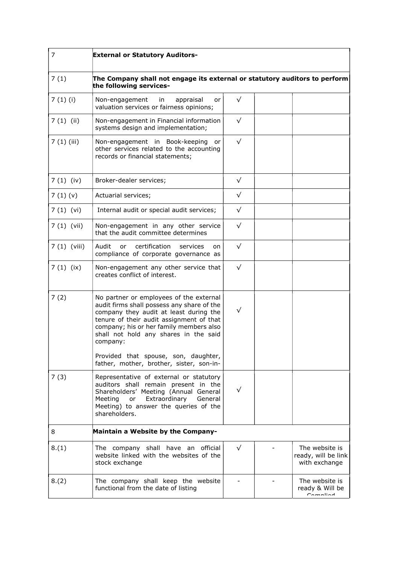| 7             | <b>External or Statutory Auditors-</b>                                                                                                                                                                                                                                      |           |                                                        |
|---------------|-----------------------------------------------------------------------------------------------------------------------------------------------------------------------------------------------------------------------------------------------------------------------------|-----------|--------------------------------------------------------|
| 7(1)          | The Company shall not engage its external or statutory auditors to perform<br>the following services-                                                                                                                                                                       |           |                                                        |
| 7(1)(i)       | appraisal<br>Non-engagement<br>in in<br>or<br>valuation services or fairness opinions;                                                                                                                                                                                      | $\sqrt{}$ |                                                        |
| $7(1)$ (ii)   | Non-engagement in Financial information<br>systems design and implementation;                                                                                                                                                                                               | $\sqrt{}$ |                                                        |
| 7(1)(iii)     | Non-engagement in Book-keeping<br>or<br>other services related to the accounting<br>records or financial statements;                                                                                                                                                        | $\sqrt{}$ |                                                        |
| 7(1)(iv)      | Broker-dealer services;                                                                                                                                                                                                                                                     | $\sqrt{}$ |                                                        |
| 7(1)(v)       | Actuarial services;                                                                                                                                                                                                                                                         | $\sqrt{}$ |                                                        |
| 7(1)(vi)      | Internal audit or special audit services;                                                                                                                                                                                                                                   | $\sqrt{}$ |                                                        |
| $7(1)$ (vii)  | Non-engagement in any other service<br>that the audit committee determines                                                                                                                                                                                                  | $\sqrt{}$ |                                                        |
| $7(1)$ (viii) | certification<br>Audit<br>services<br>or<br>on<br>compliance of corporate governance as                                                                                                                                                                                     | $\sqrt{}$ |                                                        |
| 7(1)(ix)      | Non-engagement any other service that<br>creates conflict of interest.                                                                                                                                                                                                      | $\sqrt{}$ |                                                        |
| 7(2)          | No partner or employees of the external<br>audit firms shall possess any share of the<br>company they audit at least during the<br>tenure of their audit assignment of that<br>company; his or her family members also<br>shall not hold any shares in the said<br>company: | √         |                                                        |
|               | Provided that spouse, son, daughter,<br>father, mother, brother, sister, son-in-                                                                                                                                                                                            |           |                                                        |
| 7(3)          | Representative of external or statutory<br>auditors shall remain present in the<br>Shareholders' Meeting (Annual General<br>Extraordinary<br>General<br>Meeting or<br>Meeting) to answer the queries of the<br>shareholders.                                                |           |                                                        |
| 8             | Maintain a Website by the Company-                                                                                                                                                                                                                                          |           |                                                        |
| 8.(1)         | The company shall have an official<br>website linked with the websites of the<br>stock exchange                                                                                                                                                                             | $\sqrt{}$ | The website is<br>ready, will be link<br>with exchange |
| 8.(2)         | The company shall keep the website<br>functional from the date of listing                                                                                                                                                                                                   |           | The website is<br>ready & Will be<br>Campliad          |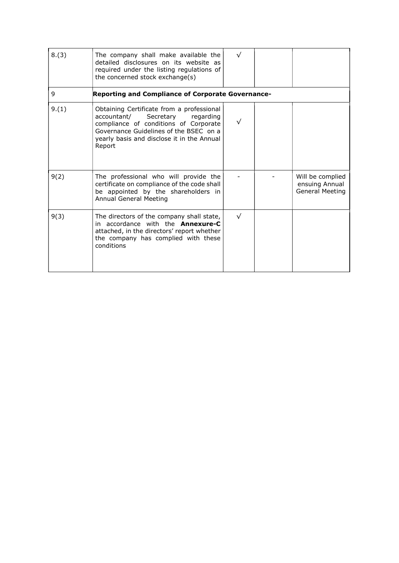| 8.(3) | The company shall make available the<br>detailed disclosures on its website as<br>required under the listing regulations of<br>the concerned stock exchange(s)                                                                | $\sqrt{}$ |  |                                                              |  |  |
|-------|-------------------------------------------------------------------------------------------------------------------------------------------------------------------------------------------------------------------------------|-----------|--|--------------------------------------------------------------|--|--|
| 9     | <b>Reporting and Compliance of Corporate Governance-</b>                                                                                                                                                                      |           |  |                                                              |  |  |
| 9.(1) | Obtaining Certificate from a professional<br>accountant/<br>Secretary<br>regarding<br>compliance of conditions of Corporate<br>Governance Guidelines of the BSEC on a<br>yearly basis and disclose it in the Annual<br>Report |           |  |                                                              |  |  |
| 9(2)  | The professional who will provide the<br>certificate on compliance of the code shall<br>be appointed by the shareholders in<br>Annual General Meeting                                                                         |           |  | Will be complied<br>ensuing Annual<br><b>General Meeting</b> |  |  |
| 9(3)  | The directors of the company shall state,<br>in accordance with the <b>Annexure-C</b><br>attached, in the directors' report whether<br>the company has complied with these<br>conditions                                      | $\sqrt{}$ |  |                                                              |  |  |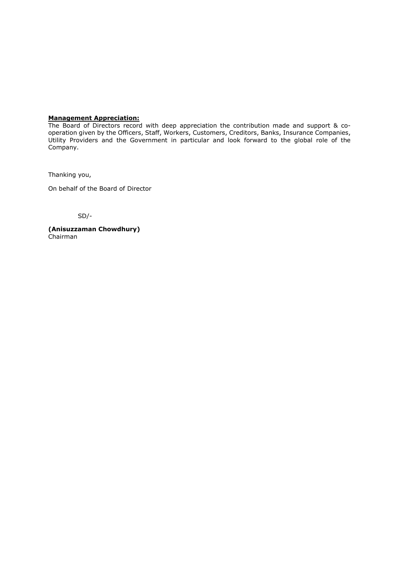#### Management Appreciation:

The Board of Directors record with deep appreciation the contribution made and support & cooperation given by the Officers, Staff, Workers, Customers, Creditors, Banks, Insurance Companies, Utility Providers and the Government in particular and look forward to the global role of the Company.

Thanking you,

On behalf of the Board of Director

SD/-

(Anisuzzaman Chowdhury) Chairman